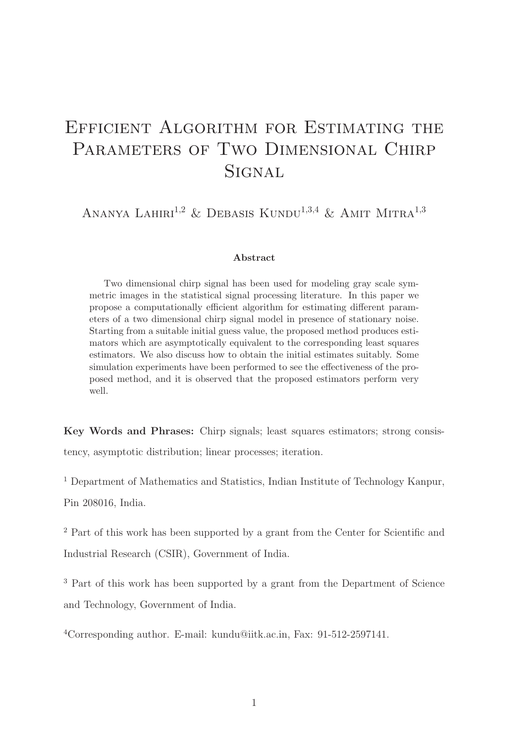# Efficient Algorithm for Estimating the PARAMETERS OF TWO DIMENSIONAL CHIRP **SIGNAL**

ANANYA LAHIRI<sup>1,2</sup> & DEBASIS KUNDU<sup>1,3,4</sup> & AMIT MITRA<sup>1,3</sup>

#### Abstract

Two dimensional chirp signal has been used for modeling gray scale symmetric images in the statistical signal processing literature. In this paper we propose a computationally efficient algorithm for estimating different parameters of a two dimensional chirp signal model in presence of stationary noise. Starting from a suitable initial guess value, the proposed method produces estimators which are asymptotically equivalent to the corresponding least squares estimators. We also discuss how to obtain the initial estimates suitably. Some simulation experiments have been performed to see the effectiveness of the proposed method, and it is observed that the proposed estimators perform very well.

Key Words and Phrases: Chirp signals; least squares estimators; strong consistency, asymptotic distribution; linear processes; iteration.

<sup>1</sup> Department of Mathematics and Statistics, Indian Institute of Technology Kanpur, Pin 208016, India.

<sup>2</sup> Part of this work has been supported by a grant from the Center for Scientific and Industrial Research (CSIR), Government of India.

<sup>3</sup> Part of this work has been supported by a grant from the Department of Science and Technology, Government of India.

<sup>4</sup>Corresponding author. E-mail: kundu@iitk.ac.in, Fax: 91-512-2597141.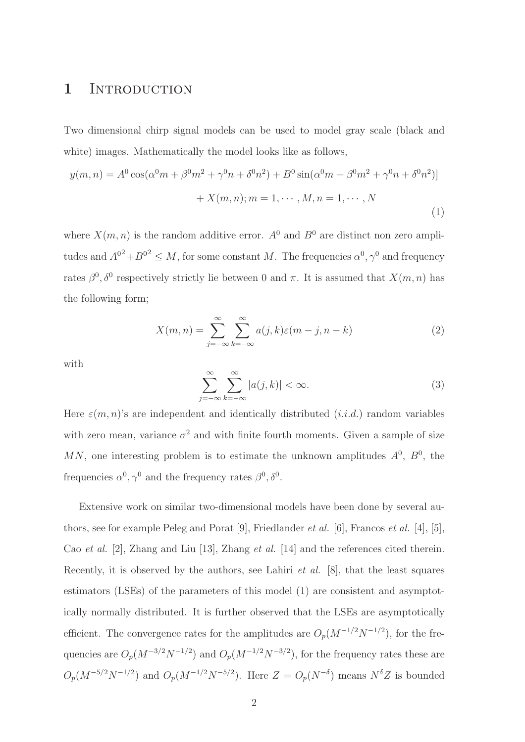### 1 INTRODUCTION

Two dimensional chirp signal models can be used to model gray scale (black and white) images. Mathematically the model looks like as follows,

$$
y(m, n) = A^{0} \cos(\alpha^{0} m + \beta^{0} m^{2} + \gamma^{0} n + \delta^{0} n^{2}) + B^{0} \sin(\alpha^{0} m + \beta^{0} m^{2} + \gamma^{0} n + \delta^{0} n^{2})
$$

$$
+ X(m, n); m = 1, \cdots, M, n = 1, \cdots, N
$$
(1)

where  $X(m, n)$  is the random additive error.  $A^0$  and  $B^0$  are distinct non zero amplitudes and  $A^{0^2} + B^{0^2} \leq M$ , for some constant M. The frequencies  $\alpha^0, \gamma^0$  and frequency rates  $\beta^0$ ,  $\delta^0$  respectively strictly lie between 0 and  $\pi$ . It is assumed that  $X(m, n)$  has the following form;

$$
X(m,n) = \sum_{j=-\infty}^{\infty} \sum_{k=-\infty}^{\infty} a(j,k)\varepsilon(m-j,n-k)
$$
 (2)

with

$$
\sum_{j=-\infty}^{\infty} \sum_{k=-\infty}^{\infty} |a(j,k)| < \infty. \tag{3}
$$

Here  $\varepsilon(m, n)$ 's are independent and identically distributed  $(i.i.d.)$  random variables with zero mean, variance  $\sigma^2$  and with finite fourth moments. Given a sample of size MN, one interesting problem is to estimate the unknown amplitudes  $A^0$ ,  $B^0$ , the frequencies  $\alpha^0, \gamma^0$  and the frequency rates  $\beta^0, \delta^0$ .

Extensive work on similar two-dimensional models have been done by several authors, see for example Peleg and Porat [9], Friedlander et al. [6], Francos et al. [4], [5], Cao et al. [2], Zhang and Liu [13], Zhang et al. [14] and the references cited therein. Recently, it is observed by the authors, see Lahiri *et al.* [8], that the least squares estimators (LSEs) of the parameters of this model (1) are consistent and asymptotically normally distributed. It is further observed that the LSEs are asymptotically efficient. The convergence rates for the amplitudes are  $O_p(M^{-1/2}N^{-1/2})$ , for the frequencies are  $O_p(M^{-3/2}N^{-1/2})$  and  $O_p(M^{-1/2}N^{-3/2})$ , for the frequency rates these are  $O_p(M^{-5/2}N^{-1/2})$  and  $O_p(M^{-1/2}N^{-5/2})$ . Here  $Z = O_p(N^{-\delta})$  means  $N^{\delta}Z$  is bounded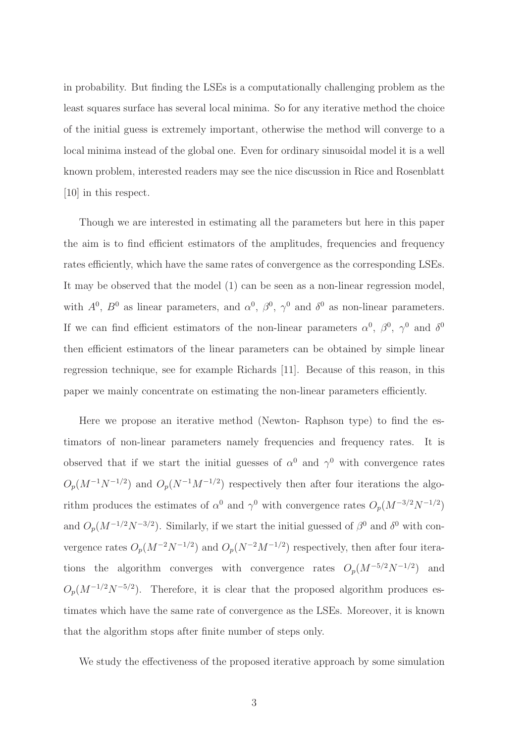in probability. But finding the LSEs is a computationally challenging problem as the least squares surface has several local minima. So for any iterative method the choice of the initial guess is extremely important, otherwise the method will converge to a local minima instead of the global one. Even for ordinary sinusoidal model it is a well known problem, interested readers may see the nice discussion in Rice and Rosenblatt [10] in this respect.

Though we are interested in estimating all the parameters but here in this paper the aim is to find efficient estimators of the amplitudes, frequencies and frequency rates efficiently, which have the same rates of convergence as the corresponding LSEs. It may be observed that the model (1) can be seen as a non-linear regression model, with  $A^0$ ,  $B^0$  as linear parameters, and  $\alpha^0$ ,  $\beta^0$ ,  $\gamma^0$  and  $\delta^0$  as non-linear parameters. If we can find efficient estimators of the non-linear parameters  $\alpha^0$ ,  $\beta^0$ ,  $\gamma^0$  and  $\delta^0$ then efficient estimators of the linear parameters can be obtained by simple linear regression technique, see for example Richards [11]. Because of this reason, in this paper we mainly concentrate on estimating the non-linear parameters efficiently.

Here we propose an iterative method (Newton- Raphson type) to find the estimators of non-linear parameters namely frequencies and frequency rates. It is observed that if we start the initial guesses of  $\alpha^0$  and  $\gamma^0$  with convergence rates  $O_p(M^{-1}N^{-1/2})$  and  $O_p(N^{-1}M^{-1/2})$  respectively then after four iterations the algorithm produces the estimates of  $\alpha^0$  and  $\gamma^0$  with convergence rates  $O_p(M^{-3/2}N^{-1/2})$ and  $O_p(M^{-1/2}N^{-3/2})$ . Similarly, if we start the initial guessed of  $\beta^0$  and  $\delta^0$  with convergence rates  $O_p(M^{-2}N^{-1/2})$  and  $O_p(N^{-2}M^{-1/2})$  respectively, then after four iterations the algorithm converges with convergence rates  $O_p(M^{-5/2}N^{-1/2})$  and  $O_p(M^{-1/2}N^{-5/2})$ . Therefore, it is clear that the proposed algorithm produces estimates which have the same rate of convergence as the LSEs. Moreover, it is known that the algorithm stops after finite number of steps only.

We study the effectiveness of the proposed iterative approach by some simulation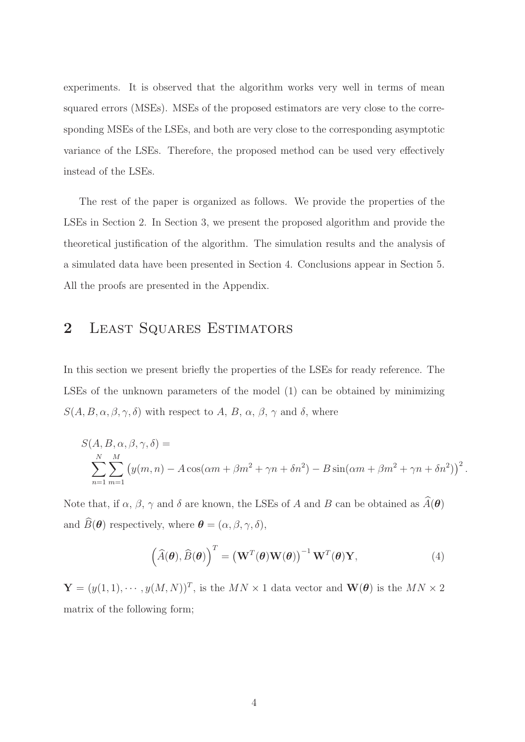experiments. It is observed that the algorithm works very well in terms of mean squared errors (MSEs). MSEs of the proposed estimators are very close to the corresponding MSEs of the LSEs, and both are very close to the corresponding asymptotic variance of the LSEs. Therefore, the proposed method can be used very effectively instead of the LSEs.

The rest of the paper is organized as follows. We provide the properties of the LSEs in Section 2. In Section 3, we present the proposed algorithm and provide the theoretical justification of the algorithm. The simulation results and the analysis of a simulated data have been presented in Section 4. Conclusions appear in Section 5. All the proofs are presented in the Appendix.

# 2 LEAST SQUARES ESTIMATORS

In this section we present briefly the properties of the LSEs for ready reference. The LSEs of the unknown parameters of the model (1) can be obtained by minimizing  $S(A, B, \alpha, \beta, \gamma, \delta)$  with respect to A, B,  $\alpha$ ,  $\beta$ ,  $\gamma$  and  $\delta$ , where

$$
S(A, B, \alpha, \beta, \gamma, \delta) =
$$
  

$$
\sum_{n=1}^{N} \sum_{m=1}^{M} (y(m, n) - A \cos(\alpha m + \beta m^2 + \gamma n + \delta n^2) - B \sin(\alpha m + \beta m^2 + \gamma n + \delta n^2))^2.
$$

Note that, if  $\alpha$ ,  $\beta$ ,  $\gamma$  and  $\delta$  are known, the LSEs of A and B can be obtained as  $\widehat{A}(\theta)$ and  $\widehat{B}(\boldsymbol{\theta})$  respectively, where  $\boldsymbol{\theta} = (\alpha, \beta, \gamma, \delta),$ 

$$
(\widehat{A}(\boldsymbol{\theta}), \widehat{B}(\boldsymbol{\theta}))^{T} = (\mathbf{W}^{T}(\boldsymbol{\theta})\mathbf{W}(\boldsymbol{\theta}))^{-1}\mathbf{W}^{T}(\boldsymbol{\theta})\mathbf{Y},
$$
\n(4)

 $\mathbf{Y} = (y(1,1), \cdots, y(M,N))^T$ , is the  $MN \times 1$  data vector and  $\mathbf{W}(\boldsymbol{\theta})$  is the  $MN \times 2$ matrix of the following form;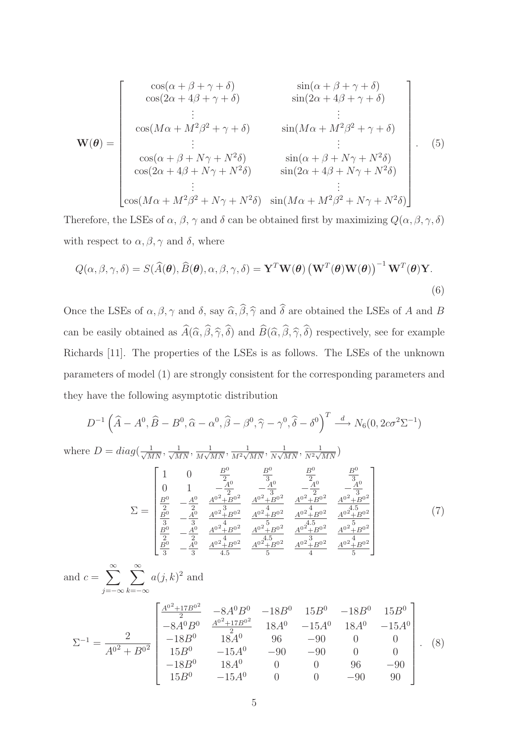$$
\mathbf{W}(\theta) = \begin{bmatrix}\n\cos(\alpha + \beta + \gamma + \delta) & \sin(\alpha + \beta + \gamma + \delta) \\
\cos(2\alpha + 4\beta + \gamma + \delta) & \sin(2\alpha + 4\beta + \gamma + \delta) \\
\vdots & \vdots \\
\cos(M\alpha + M^2\beta^2 + \gamma + \delta) & \sin(M\alpha + M^2\beta^2 + \gamma + \delta) \\
\vdots & \vdots \\
\cos(\alpha + \beta + N\gamma + N^2\delta) & \sin(\alpha + \beta + N\gamma + N^2\delta) \\
\cos(2\alpha + 4\beta + N\gamma + N^2\delta) & \sin(2\alpha + 4\beta + N\gamma + N^2\delta)\n\end{bmatrix}.
$$
\n(5)

Therefore, the LSEs of  $\alpha$ ,  $\beta$ ,  $\gamma$  and  $\delta$  can be obtained first by maximizing  $Q(\alpha, \beta, \gamma, \delta)$ with respect to  $\alpha, \beta, \gamma$  and  $\delta$ , where

$$
Q(\alpha, \beta, \gamma, \delta) = S(\widehat{A}(\boldsymbol{\theta}), \widehat{B}(\boldsymbol{\theta}), \alpha, \beta, \gamma, \delta) = \mathbf{Y}^T \mathbf{W}(\boldsymbol{\theta}) (\mathbf{W}^T(\boldsymbol{\theta}) \mathbf{W}(\boldsymbol{\theta}))^{-1} \mathbf{W}^T(\boldsymbol{\theta}) \mathbf{Y}.
$$
\n(6)

Once the LSEs of  $\alpha, \beta, \gamma$  and  $\delta$ , say  $\widehat{\alpha}, \widehat{\beta}, \widehat{\gamma}$  and  $\widehat{\delta}$  are obtained the LSEs of A and B can be easily obtained as  $\widehat{A}(\widehat{\alpha}, \widehat{\beta}, \widehat{\gamma}, \widehat{\delta})$  and  $\widehat{B}(\widehat{\alpha}, \widehat{\beta}, \widehat{\gamma}, \widehat{\delta})$  respectively, see for example Richards [11]. The properties of the LSEs is as follows. The LSEs of the unknown parameters of model (1) are strongly consistent for the corresponding parameters and they have the following asymptotic distribution

$$
D^{-1}(\hat{A} - A^{0}, \hat{B} - B^{0}, \hat{\alpha} - \alpha^{0}, \hat{\beta} - \beta^{0}, \hat{\gamma} - \gamma^{0}, \hat{\delta} - \delta^{0})^{T} \xrightarrow{d} N_{6}(0, 2c\sigma^{2}\Sigma^{-1})
$$
  
where 
$$
D = diag(\frac{1}{\sqrt{MN}}, \frac{1}{\sqrt{MN}}, \frac{1}{M\sqrt{MN}}, \frac{1}{M^{2}\sqrt{MN}}, \frac{1}{N\sqrt{MN}}, \frac{1}{N^{2}\sqrt{MN}})
$$

$$
\sum = \begin{bmatrix} 1 & 0 & \frac{B^{0}}{2} & \frac{B^{0}}{3} & \frac{B^{0}}{2} & \frac{B^{0}}{3} \\ 0 & 1 & -\frac{A^{0}}{2} & -\frac{A^{0}}{3} & -\frac{A^{0}}{2} & -\frac{A^{0}}{3} \\ \frac{B^{0}}{2} & -\frac{A^{0}}{2} & \frac{A^{0^{2}+B^{0^{2}}}{3} & \frac{A^{0^{2}+B^{0^{2}}}{4} & \frac{A^{0^{2}+B^{0^{2}}}{4}}{4} \\ \frac{B^{0}}{3} & -\frac{A^{0}}{3} & \frac{A^{0^{2}+B^{0^{2}}}{4} & \frac{A^{0^{2}+B^{0^{2}}}{4} & \frac{A^{0^{2}+B^{0^{2}}}{4} & \frac{A^{0^{2}+B^{0^{2}}}{4} \\ \frac{B^{0}}{2} & -\frac{A^{0}}{2} & \frac{A^{0^{2}+B^{0^{2}}}{4} & \frac{A^{0^{2}+B^{0^{2}}}{4} & \frac{A^{0^{2}+B^{0^{2}}}{4} & \frac{A^{0^{2}+B^{0^{2}}}{4} \\ \frac{B^{0}}{2} & -\frac{A^{0}}{3} & \frac{A^{0^{2}+B^{0^{2}}}{4} & \frac{A^{0^{2}+B^{0^{2}}}{4} & \frac{A^{0^{2}+B^{0^{2}}}{4} \\ \frac{B^{0}}{2} & -\frac{A^{0}}{3} & \frac{A^{0^{2}+B^{0^{2}}}{4} & \frac{A^{0^{2}+B^{0^{2}}}{4} & \frac{A^{0^{2}+B^{0^{2}}}{4} & \frac{
$$

$$
\Sigma^{-1} = \frac{2}{A^{0^2} + B^{0^2}} \begin{bmatrix} -8A^2B^2 & -8A^3 & -13A^3 & 18A^3 & -13A^3 \\ -18B^0 & 18A^0 & 96 & -90 & 0 & 0 \\ 15B^0 & -15A^0 & -90 & -90 & 0 & 0 \\ -18B^0 & 18A^0 & 0 & 0 & 96 & -90 \\ 15B^0 & -15A^0 & 0 & 0 & -90 & 90 \end{bmatrix} . \tag{8}
$$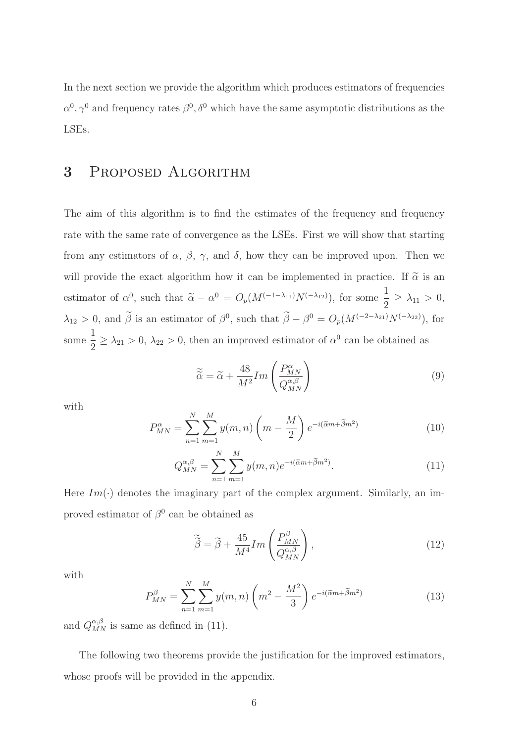In the next section we provide the algorithm which produces estimators of frequencies  $\alpha^0, \gamma^0$  and frequency rates  $\beta^0, \delta^0$  which have the same asymptotic distributions as the LSEs.

# 3 Proposed Algorithm

The aim of this algorithm is to find the estimates of the frequency and frequency rate with the same rate of convergence as the LSEs. First we will show that starting from any estimators of  $\alpha$ ,  $\beta$ ,  $\gamma$ , and  $\delta$ , how they can be improved upon. Then we will provide the exact algorithm how it can be implemented in practice. If  $\tilde{\alpha}$  is an estimator of  $\alpha^0$ , such that  $\tilde{\alpha} - \alpha^0 = O_p(M^{(-1-\lambda_{11})}N^{(-\lambda_{12})})$ , for some  $\frac{1}{2}$  $\frac{1}{2} \geq \lambda_{11} > 0,$  $\lambda_{12} > 0$ , and  $\beta$  is an estimator of  $\beta^0$ , such that  $\beta - \beta^0 = O_p(M^{(-2-\lambda_{21})}N^{(-\lambda_{22})})$ , for some 1  $\frac{1}{2} \geq \lambda_{21} > 0$ ,  $\lambda_{22} > 0$ , then an improved estimator of  $\alpha^0$  can be obtained as

$$
\widetilde{\widetilde{\alpha}} = \widetilde{\alpha} + \frac{48}{M^2} Im \left( \frac{P_{MN}^{\alpha}}{Q_{MN}^{\alpha,\beta}} \right) \tag{9}
$$

with

$$
P_{MN}^{\alpha} = \sum_{n=1}^{N} \sum_{m=1}^{M} y(m,n) \left(m - \frac{M}{2}\right) e^{-i(\tilde{\alpha}m + \tilde{\beta}m^2)}
$$
(10)

$$
Q_{MN}^{\alpha,\beta} = \sum_{n=1}^{N} \sum_{m=1}^{M} y(m,n) e^{-i(\widetilde{\alpha}m + \widetilde{\beta}m^2)}.
$$
\n(11)

Here  $Im(\cdot)$  denotes the imaginary part of the complex argument. Similarly, an improved estimator of  $\beta^0$  can be obtained as

$$
\widetilde{\widetilde{\beta}} = \widetilde{\beta} + \frac{45}{M^4} Im \left( \frac{P_{MN}^{\beta}}{Q_{MN}^{\alpha,\beta}} \right), \tag{12}
$$

with

$$
P_{MN}^{\beta} = \sum_{n=1}^{N} \sum_{m=1}^{M} y(m,n) \left( m^2 - \frac{M^2}{3} \right) e^{-i(\tilde{\alpha}m + \tilde{\beta}m^2)}
$$
(13)

and  $Q_{MN}^{\alpha,\beta}$  is same as defined in (11).

The following two theorems provide the justification for the improved estimators, whose proofs will be provided in the appendix.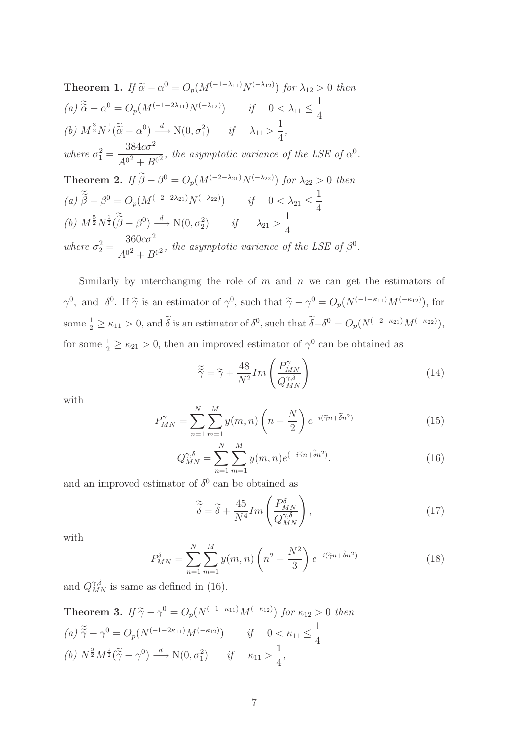**Theorem 1.** If 
$$
\tilde{\alpha} - \alpha^0 = O_p(M^{(-1-\lambda_{11})}N^{(-\lambda_{12})})
$$
 for  $\lambda_{12} > 0$  then  
\n(a)  $\tilde{\tilde{\alpha}} - \alpha^0 = O_p(M^{(-1-2\lambda_{11})}N^{(-\lambda_{12})})$  if  $0 < \lambda_{11} \le \frac{1}{4}$   
\n(b)  $M^{\frac{3}{2}}N^{\frac{1}{2}}(\tilde{\tilde{\alpha}} - \alpha^0) \xrightarrow{d} N(0, \sigma_1^2)$  if  $\lambda_{11} > \frac{1}{4}$ ,  
\nwhere  $\sigma_1^2 = \frac{384c\sigma^2}{A^{02} + B^{02}}$ , the asymptotic variance of the LSE of  $\alpha^0$ .  
\n**Theorem 2.** If  $\tilde{\beta} - \beta^0 = O_p(M^{(-2-\lambda_{21})}N^{(-\lambda_{22})})$  for  $\lambda_{22} > 0$  then  
\n(a)  $\tilde{\tilde{\beta}} - \beta^0 = O_p(M^{(-2-2\lambda_{21})}N^{(-\lambda_{22})})$  if  $0 < \lambda_{21} \le \frac{1}{4}$   
\n(b)  $M^{\frac{5}{2}}N^{\frac{1}{2}}(\tilde{\tilde{\beta}} - \beta^0) \xrightarrow{d} N(0, \sigma_2^2)$  if  $\lambda_{21} > \frac{1}{4}$   
\nwhere  $\sigma_2^2 = \frac{360c\sigma^2}{A^{02} + B^{02}}$ , the asymptotic variance of the LSE of  $\beta^0$ .

Similarly by interchanging the role of  $m$  and  $n$  we can get the estimators of  $\gamma^0$ , and  $\delta^0$ . If  $\tilde{\gamma}$  is an estimator of  $\gamma^0$ , such that  $\tilde{\gamma} - \gamma^0 = O_p(N^{(-1-\kappa_{11})}M^{(-\kappa_{12})})$ , for some  $\frac{1}{2} \ge \kappa_{11} > 0$ , and  $\delta$  is an estimator of  $\delta^0$ , such that  $\delta - \delta^0 = O_p(N^{(-2-\kappa_{21})}M^{(-\kappa_{22})})$ , for some  $\frac{1}{2} \geq \kappa_{21} > 0$ , then an improved estimator of  $\gamma^0$  can be obtained as

$$
\widetilde{\widetilde{\gamma}} = \widetilde{\gamma} + \frac{48}{N^2} Im \left( \frac{P_{MN}^{\gamma}}{Q_{MN}^{\gamma,\delta}} \right)
$$
\n(14)

with

$$
P_{MN}^{\gamma} = \sum_{n=1}^{N} \sum_{m=1}^{M} y(m,n) \left(n - \frac{N}{2}\right) e^{-i(\tilde{\gamma}n + \tilde{\delta}n^2)}
$$
(15)

$$
Q_{MN}^{\gamma,\delta} = \sum_{n=1}^{N} \sum_{m=1}^{M} y(m,n) e^{(-i\widetilde{\gamma}n + \widetilde{\delta}n^2)}.
$$
 (16)

and an improved estimator of  $\delta^0$  can be obtained as

$$
\widetilde{\widetilde{\delta}} = \widetilde{\delta} + \frac{45}{N^4} Im \left( \frac{P_{MN}^{\delta}}{Q_{MN}^{\gamma,\delta}} \right), \tag{17}
$$

with

$$
P_{MN}^{\delta} = \sum_{n=1}^{N} \sum_{m=1}^{M} y(m,n) \left( n^2 - \frac{N^2}{3} \right) e^{-i(\tilde{\gamma}n + \tilde{\delta}n^2)} \tag{18}
$$

and  $Q_{MN}^{\gamma,\delta}$  is same as defined in (16).

**Theorem 3.** If 
$$
\tilde{\gamma} - \gamma^0 = O_p(N^{(-1-\kappa_{11})}M^{(-\kappa_{12})})
$$
 for  $\kappa_{12} > 0$  then  
\n(a)  $\tilde{\tilde{\gamma}} - \gamma^0 = O_p(N^{(-1-2\kappa_{11})}M^{(-\kappa_{12})})$  if  $0 < \kappa_{11} \le \frac{1}{4}$   
\n(b)  $N^{\frac{3}{2}}M^{\frac{1}{2}}(\tilde{\tilde{\gamma}} - \gamma^0) \stackrel{d}{\longrightarrow} N(0, \sigma_1^2)$  if  $\kappa_{11} > \frac{1}{4}$ ,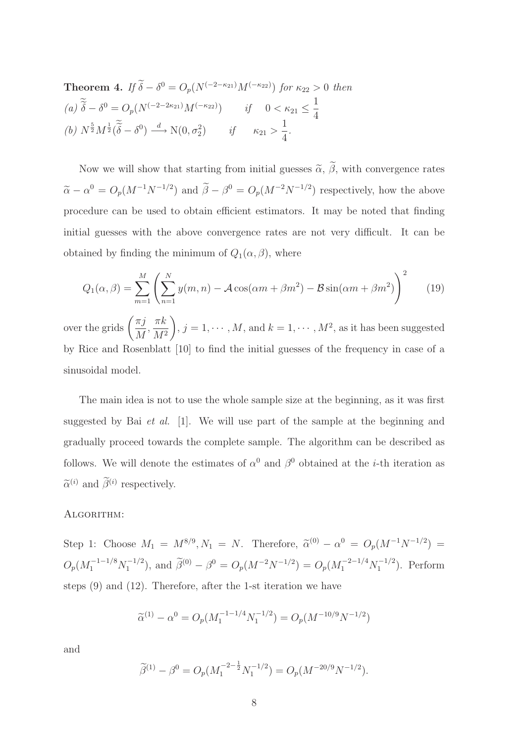**Theorem 4.** If 
$$
\tilde{\delta} - \delta^0 = O_p(N^{(-2-\kappa_{21})}M^{(-\kappa_{22})})
$$
 for  $\kappa_{22} > 0$  then  
\n(a)  $\tilde{\tilde{\delta}} - \delta^0 = O_p(N^{(-2-2\kappa_{21})}M^{(-\kappa_{22})})$  if  $0 < \kappa_{21} \le \frac{1}{4}$   
\n(b)  $N^{\frac{5}{2}}M^{\frac{1}{2}}(\tilde{\tilde{\delta}} - \delta^0) \stackrel{d}{\longrightarrow} N(0, \sigma_2^2)$  if  $\kappa_{21} > \frac{1}{4}$ .

Now we will show that starting from initial guesses  $\tilde{\alpha}$ ,  $\tilde{\beta}$ , with convergence rates  $\tilde{\alpha} - \alpha^0 = O_p(M^{-1}N^{-1/2})$  and  $\tilde{\beta} - \beta^0 = O_p(M^{-2}N^{-1/2})$  respectively, how the above procedure can be used to obtain efficient estimators. It may be noted that finding initial guesses with the above convergence rates are not very difficult. It can be obtained by finding the minimum of  $Q_1(\alpha, \beta)$ , where

$$
Q_1(\alpha, \beta) = \sum_{m=1}^{M} \left( \sum_{n=1}^{N} y(m, n) - \mathcal{A} \cos(\alpha m + \beta m^2) - \mathcal{B} \sin(\alpha m + \beta m^2) \right)^2 \tag{19}
$$

over the grids  $\left(\frac{\pi j}{M}\right)$ M ,  $\pi k$  $M<sup>2</sup>$  $\setminus$ ,  $j = 1, \dots, M$ , and  $k = 1, \dots, M^2$ , as it has been suggested by Rice and Rosenblatt [10] to find the initial guesses of the frequency in case of a sinusoidal model.

The main idea is not to use the whole sample size at the beginning, as it was first suggested by Bai et al. [1]. We will use part of the sample at the beginning and gradually proceed towards the complete sample. The algorithm can be described as follows. We will denote the estimates of  $\alpha^0$  and  $\beta^0$  obtained at the *i*-th iteration as  $\tilde{\alpha}^{(i)}$  and  $\tilde{\beta}^{(i)}$  respectively.

#### ALGORITHM:

Step 1: Choose  $M_1 = M^{8/9}, N_1 = N$ . Therefore,  $\tilde{\alpha}^{(0)} - \alpha^0 = O_p(M^{-1}N^{-1/2}) =$  $O_p(M_1^{-1-1/8}N_1^{-1/2})$ , and  $\tilde{\beta}^{(0)} - \beta^0 = O_p(M^{-2}N^{-1/2}) = O_p(M_1^{-2-1/4}N_1^{-1/2})$ . Perform steps (9) and (12). Therefore, after the 1-st iteration we have

$$
\widetilde{\alpha}^{(1)} - \alpha^0 = O_p(M_1^{-1-1/4} N_1^{-1/2}) = O_p(M^{-10/9} N^{-1/2})
$$

and

$$
\widetilde{\beta}^{(1)} - \beta^0 = O_p(M_1^{-2 - \frac{1}{2}} N_1^{-1/2}) = O_p(M^{-20/9} N^{-1/2}).
$$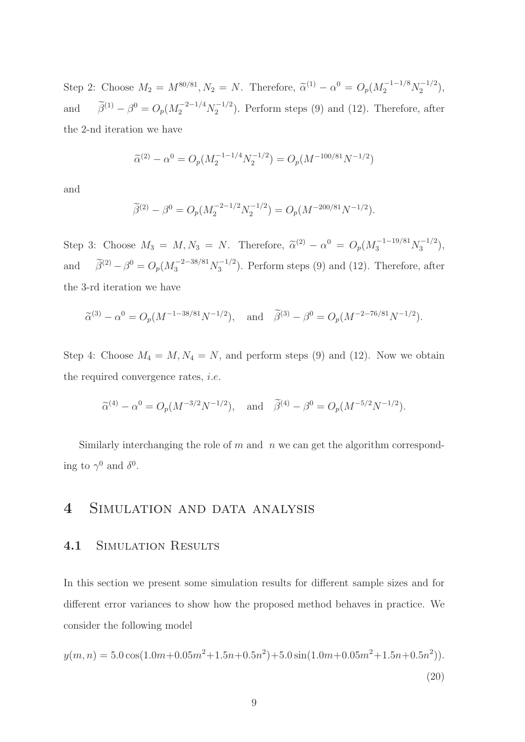Step 2: Choose  $M_2 = M^{80/81}$ ,  $N_2 = N$ . Therefore,  $\tilde{\alpha}^{(1)} - \alpha^0 = O_p(M_2^{-1-1/8} N_2^{-1/2})$ , and  $\widetilde{\beta}^{(1)} - \beta^0 = O_p(M_2^{-2-1/4} N_2^{-1/2})$ . Perform steps (9) and (12). Therefore, after the 2-nd iteration we have

$$
\widetilde{\alpha}^{(2)} - \alpha^0 = O_p(M_2^{-1}^{-1/4} N_2^{-1/2}) = O_p(M^{-100/81} N^{-1/2})
$$

and

$$
\widetilde{\beta}^{(2)} - \beta^0 = O_p(M_2^{-2-1/2} N_2^{-1/2}) = O_p(M^{-200/81} N^{-1/2}).
$$

Step 3: Choose  $M_3 = M, N_3 = N$ . Therefore,  $\tilde{\alpha}^{(2)} - \alpha^0 = O_p(M_3^{-1-19/81} N_3^{-1/2}),$ and  $\tilde{\beta}^{(2)} - \beta^0 = O_p(M_3^{-2-38/81} N_3^{-1/2})$ . Perform steps (9) and (12). Therefore, after the 3-rd iteration we have

$$
\widetilde{\alpha}^{(3)} - \alpha^0 = O_p(M^{-1-38/81}N^{-1/2}), \text{ and } \widetilde{\beta}^{(3)} - \beta^0 = O_p(M^{-2-76/81}N^{-1/2}).
$$

Step 4: Choose  $M_4 = M, N_4 = N$ , and perform steps (9) and (12). Now we obtain the required convergence rates, i.e.

$$
\widetilde{\alpha}^{(4)} - \alpha^0 = O_p(M^{-3/2}N^{-1/2}), \text{ and } \widetilde{\beta}^{(4)} - \beta^0 = O_p(M^{-5/2}N^{-1/2}).
$$

Similarly interchanging the role of  $m$  and  $n$  we can get the algorithm corresponding to  $\gamma^0$  and  $\delta^0$ .

# 4 Simulation and data analysis

#### 4.1 SIMULATION RESULTS

In this section we present some simulation results for different sample sizes and for different error variances to show how the proposed method behaves in practice. We consider the following model

$$
y(m,n) = 5.0\cos(1.0m+0.05m^2+1.5n+0.5n^2)+5.0\sin(1.0m+0.05m^2+1.5n+0.5n^2)).
$$
\n(20)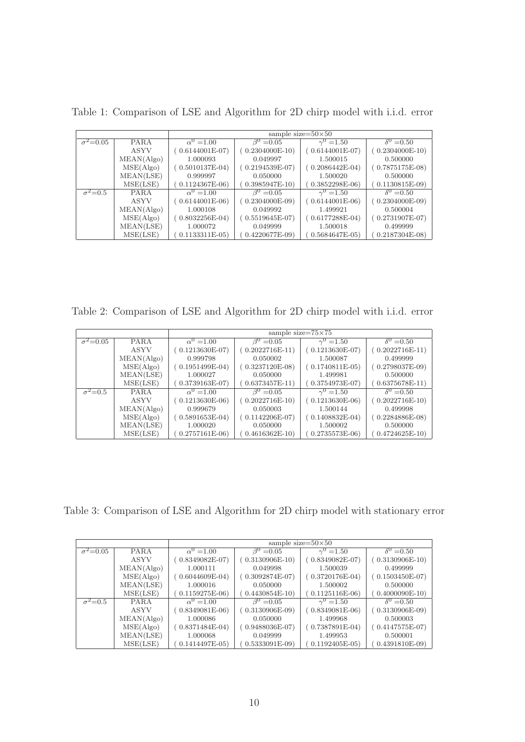|                            |             | sample size= $50\times50$ |                             |                   |                   |
|----------------------------|-------------|---------------------------|-----------------------------|-------------------|-------------------|
| $\sigma^2 = 0.05$          | <b>PARA</b> | $\alpha^{0} = 1.00$       | $\beta^0 = 0.05$            | $\gamma^0 = 1.50$ | $\delta^0 = 0.50$ |
|                            | <b>ASYV</b> | $(0.6144001E-07)$         | $(0.2304000E-10)$           | $(0.6144001E-07)$ | $(0.2304000E-10)$ |
|                            | MEAN(Algo)  | 1.000093                  | 0.049997                    | 1.500015          | 0.500000          |
|                            | MSE(Algo)   | $(0.5010137E-04)$         | $(0.2194539E-07)$           | $(0.2086442E-04)$ | $(0.7875175E-08)$ |
|                            | MEAN(LSE)   | 0.999997                  | 0.050000                    | 1.500020          | 0.500000          |
|                            | MSE(LSE)    | $(0.1124367E-06)$         | $0.3985947E-10$             | $(0.3852298E-06)$ | $(0.1130815E-09)$ |
| $\overline{\sigma^2}$ =0.5 | <b>PARA</b> | $\alpha^0 = 1.00$         | $\overline{\beta^0} = 0.05$ | $\gamma^0 = 1.50$ | $\delta^0 = 0.50$ |
|                            | <b>ASYV</b> | $(0.6144001E-06)$         | $(0.2304000E-09)$           | $(0.6144001E-06)$ | $(0.2304000E-09)$ |
|                            | MEAN(Algo)  | 1.000108                  | 0.049992                    | 1.499921          | 0.500004          |
|                            | MSE(Algo)   | $(0.8032256E-04)$         | $(0.5519645E-07)$           | $(0.6177288E-04)$ | $(0.2731907E-07)$ |
|                            | MEAN(LSE)   | 1.000072                  | 0.049999                    | 1.500018          | 0.499999          |
|                            | MSE(LSE)    | $0.1133311E-05$           | $0.4220677E-09$             | $0.5684647E-05$   | $0.2187304E-08$   |

Table 1: Comparison of LSE and Algorithm for 2D chirp model with i.i.d. error

Table 2: Comparison of LSE and Algorithm for 2D chirp model with i.i.d. error

|                        |             | sample size= $75\times75$ |                   |                   |                   |
|------------------------|-------------|---------------------------|-------------------|-------------------|-------------------|
| $\sigma^2=0.05$        | <b>PARA</b> | $\alpha^{0} = 1.00$       | $\beta^0 = 0.05$  | $\gamma^0 = 1.50$ | $\delta^0 = 0.50$ |
|                        | ASYV        | $(0.1213630E-07)$         | $(0.2022716E-11)$ | $(0.1213630E-07)$ | $(0.2022716E-11)$ |
|                        | MEAN(Algo)  | 0.999798                  | 0.050002          | 1.500087          | 0.499999          |
|                        | MSE(Algo)   | $(0.1951499E-04)$         | $(0.3237120E-08)$ | $(0.1740811E-05)$ | $(0.2798037E-09)$ |
|                        | MEAN(LSE)   | 1.000027                  | 0.050000          | 1.499981          | 0.500000          |
|                        | MSE(LSE)    | $0.3739163E-07$           | $0.6373457E-11$   | $0.3754973E-07$   | $0.6375678E-11)$  |
| $\bar{\sigma}^2 = 0.5$ | <b>PARA</b> | $\alpha^0 = 1.00$         | $\beta^0 = 0.05$  | $\gamma^0 = 1.50$ | $\delta^0 = 0.50$ |
|                        | ASYV        | $(0.1213630E-06)$         | $(0.2022716E-10)$ | $(0.1213630E-06)$ | $(0.2022716E-10)$ |
|                        | MEAN(Algo)  | 0.999679                  | 0.050003          | 1.500144          | 0.499998          |
|                        | MSE(Algo)   | $(0.5891653E-04)$         | $(0.1142206E-07)$ | $(0.1408832E-04)$ | $(0.2284886E-08)$ |
|                        | MEAN(LSE)   | 1.000020                  | 0.050000          | 1.500002          | 0.500000          |
|                        | MSE(LSE)    | $0.2757161E-06$           | $(0.4616362E-10)$ | $0.2735573E-06$   | $(0.4724625E-10)$ |

Table 3: Comparison of LSE and Algorithm for 2D chirp model with stationary error

|                   |             | sample size= $50\times50$ |                  |                   |                             |
|-------------------|-------------|---------------------------|------------------|-------------------|-----------------------------|
| $\sigma^2 = 0.05$ | <b>PARA</b> | $\alpha^{0} = 1.00$       | $\beta^0 = 0.05$ | $\gamma^0 = 1.50$ | $\overline{\delta}^0$ =0.50 |
|                   | ASYV        | $(0.8349082E-07)$         | $0.3130906E-10$  | $0.8349082E-07$   | $(0.3130906E-10)$           |
|                   | MEAN(Algo)  | 1.000111                  | 0.049998         | 1.500039          | 0.499999                    |
|                   | MSE(Algo)   | $(0.6044609E-04)$         | $0.3092874E-07$  | $(0.3720176E-04)$ | $(0.1503450E-07)$           |
|                   | MEAN(LSE)   | 1.000016                  | 0.050000         | 1.500002          | 0.500000                    |
|                   | MSE(LSE)    | $(0.1159275E-06)$         | $0.4430854E-10$  | $0.1125116E-06$   | $0.4000090E-10$             |
| $\sigma^2=0.5$    | <b>PARA</b> | $\alpha^{0} = 1.00$       | $\beta^0 = 0.05$ | $\gamma^0 = 1.50$ | $\delta^0 = 0.50$           |
|                   | <b>ASYV</b> | $(0.8349081E-06)$         | $0.3130906E-09$  | $(0.8349081E-06)$ | $(0.3130906E-09)$           |
|                   | MEAN(Algo)  | 1.000086                  | 0.050000         | 1.499968          | 0.500003                    |
|                   | MSE(Algo)   | $(0.8371484E-04)$         | $0.9488036E-07$  | $0.7387891E-04$   | $(0.4147575E-07)$           |
|                   | MEAN(LSE)   | 1.000068                  | 0.049999         | 1.499953          | 0.500001                    |
|                   | MSE(LSE)    | $0.1414497E-05$           | $0.5333091E-09$  | $0.1192405E-05$   | $0.4391810E-09$             |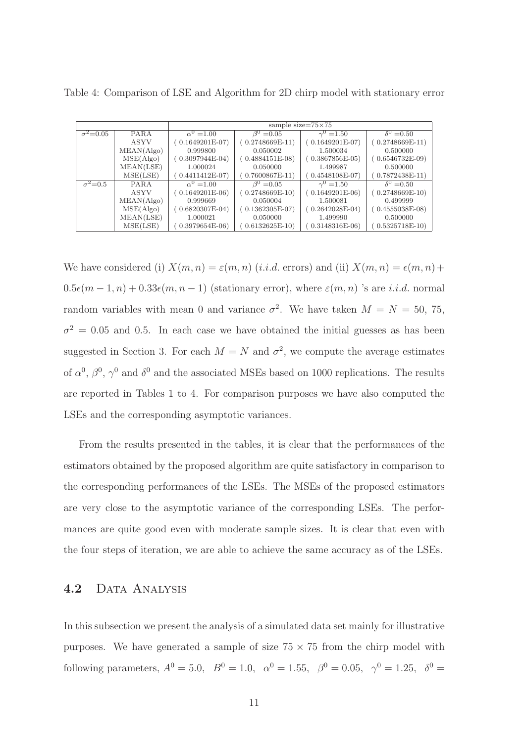|                  |             | sample size= $75\times75$ |                   |                   |                   |
|------------------|-------------|---------------------------|-------------------|-------------------|-------------------|
| $\sigma^2=0.05$  | <b>PARA</b> | $\alpha^{0} = 1.00$       | $\beta^0 = 0.05$  | $\gamma^0 = 1.50$ | $\delta^0 = 0.50$ |
|                  | <b>ASYV</b> | $(0.1649201E-07)$         | $(0.2748669E-11)$ | $(0.1649201E-07)$ | $(0.2748669E-11)$ |
|                  | MEAN(Algo)  | 0.999800                  | 0.050002          | 1.500034          | 0.500000          |
|                  | MSE(Algo)   | $(0.3097944E-04)$         | $(0.4884151E-08)$ | $(0.3867856E-05)$ | $(0.6546732E-09)$ |
|                  | MEAN(LSE)   | 1.000024                  | 0.050000          | 1.499987          | 0.500000          |
|                  | MSE(LSE)    | $0.4411412E-07)$          | $0.7600867E-11)$  | $0.4548108E-07$   | $0.7872438E-11)$  |
| $\sigma^2 = 0.5$ | <b>PARA</b> | $\alpha^{0} = 1.00$       | $\beta^0 = 0.05$  | $\gamma^0 = 1.50$ | $\delta^0 = 0.50$ |
|                  | ASYV        | $(0.1649201E-06)$         | $(0.2748669E-10)$ | $(0.1649201E-06)$ | $(0.2748669E-10)$ |
|                  | MEAN(Algo)  | 0.999669                  | 0.050004          | 1.500081          | 0.499999          |
|                  | MSE(Algo)   | $(0.6820307E-04)$         | $(0.1362305E-07)$ | $(0.2642028E-04)$ | $(0.4555038E-08)$ |
|                  | MEAN(LSE)   | 1.000021                  | 0.050000          | 1.499990          | 0.500000          |
|                  | MSE(LSE)    | $0.3979654E-06$           | $0.6132625E-10$   | $0.3148316E-06$   | $0.5325718E-10$   |

Table 4: Comparison of LSE and Algorithm for 2D chirp model with stationary error

We have considered (i)  $X(m, n) = \varepsilon(m, n)$  (*i.i.d.* errors) and (ii)  $X(m, n) = \varepsilon(m, n) +$  $0.5\epsilon(m-1,n)+0.33\epsilon(m,n-1)$  (stationary error), where  $\varepsilon(m,n)$  's are *i.i.d.* normal random variables with mean 0 and variance  $\sigma^2$ . We have taken  $M = N = 50, 75,$  $\sigma^2 = 0.05$  and 0.5. In each case we have obtained the initial guesses as has been suggested in Section 3. For each  $M = N$  and  $\sigma^2$ , we compute the average estimates of  $\alpha^0$ ,  $\beta^0$ ,  $\gamma^0$  and  $\delta^0$  and the associated MSEs based on 1000 replications. The results are reported in Tables 1 to 4. For comparison purposes we have also computed the LSEs and the corresponding asymptotic variances.

From the results presented in the tables, it is clear that the performances of the estimators obtained by the proposed algorithm are quite satisfactory in comparison to the corresponding performances of the LSEs. The MSEs of the proposed estimators are very close to the asymptotic variance of the corresponding LSEs. The performances are quite good even with moderate sample sizes. It is clear that even with the four steps of iteration, we are able to achieve the same accuracy as of the LSEs.

#### 4.2 DATA ANALYSIS

In this subsection we present the analysis of a simulated data set mainly for illustrative purposes. We have generated a sample of size  $75 \times 75$  from the chirp model with following parameters,  $A^0 = 5.0$ ,  $B^0 = 1.0$ ,  $\alpha^0 = 1.55$ ,  $\beta^0 = 0.05$ ,  $\gamma^0 = 1.25$ ,  $\delta^0 =$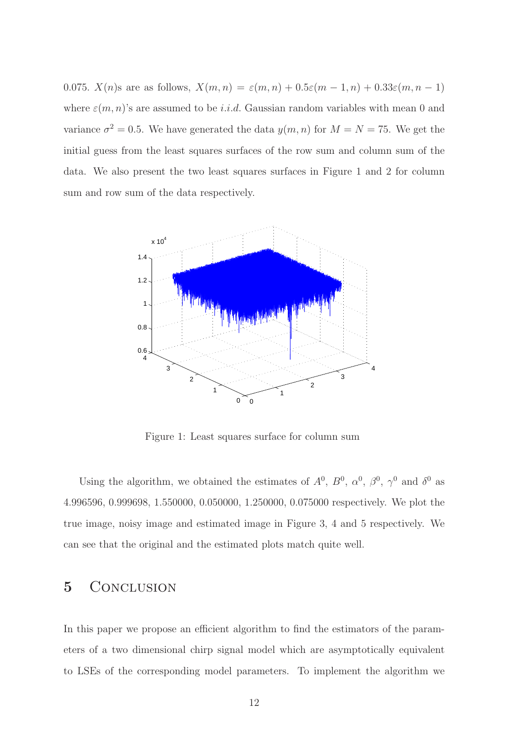0.075.  $X(n)$ s are as follows,  $X(m, n) = \varepsilon(m, n) + 0.5\varepsilon(m - 1, n) + 0.33\varepsilon(m, n - 1)$ where  $\varepsilon(m, n)$ 's are assumed to be *i.i.d.* Gaussian random variables with mean 0 and variance  $\sigma^2 = 0.5$ . We have generated the data  $y(m, n)$  for  $M = N = 75$ . We get the initial guess from the least squares surfaces of the row sum and column sum of the data. We also present the two least squares surfaces in Figure 1 and 2 for column sum and row sum of the data respectively.



Figure 1: Least squares surface for column sum

Using the algorithm, we obtained the estimates of  $A^0$ ,  $B^0$ ,  $\alpha^0$ ,  $\beta^0$ ,  $\gamma^0$  and  $\delta^0$  as 4.996596, 0.999698, 1.550000, 0.050000, 1.250000, 0.075000 respectively. We plot the true image, noisy image and estimated image in Figure 3, 4 and 5 respectively. We can see that the original and the estimated plots match quite well.

# 5 CONCLUSION

In this paper we propose an efficient algorithm to find the estimators of the parameters of a two dimensional chirp signal model which are asymptotically equivalent to LSEs of the corresponding model parameters. To implement the algorithm we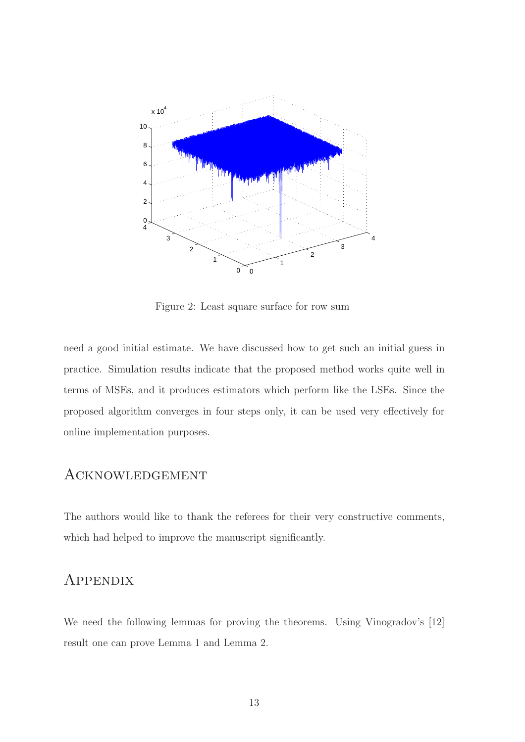

Figure 2: Least square surface for row sum

need a good initial estimate. We have discussed how to get such an initial guess in practice. Simulation results indicate that the proposed method works quite well in terms of MSEs, and it produces estimators which perform like the LSEs. Since the proposed algorithm converges in four steps only, it can be used very effectively for online implementation purposes.

# Acknowledgement

The authors would like to thank the referees for their very constructive comments, which had helped to improve the manuscript significantly.

## **APPENDIX**

We need the following lemmas for proving the theorems. Using Vinogradov's [12] result one can prove Lemma 1 and Lemma 2.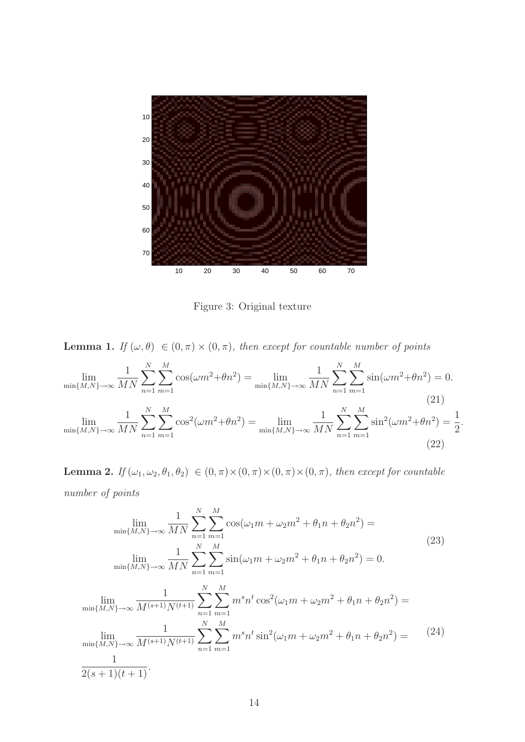

Figure 3: Original texture

**Lemma 1.** If  $(\omega, \theta) \in (0, \pi) \times (0, \pi)$ , then except for countable number of points

$$
\lim_{\min\{M,N\}\to\infty} \frac{1}{MN} \sum_{n=1}^{N} \sum_{m=1}^{M} \cos(\omega m^2 + \theta n^2) = \lim_{\min\{M,N\}\to\infty} \frac{1}{MN} \sum_{n=1}^{N} \sum_{m=1}^{M} \sin(\omega m^2 + \theta n^2) = 0.
$$
\n(21)\n
$$
\lim_{\min\{M,N\}\to\infty} \frac{1}{MN} \sum_{n=1}^{N} \sum_{m=1}^{M} \cos^2(\omega m^2 + \theta n^2) = \lim_{\min\{M,N\}\to\infty} \frac{1}{MN} \sum_{n=1}^{N} \sum_{m=1}^{M} \sin^2(\omega m^2 + \theta n^2) = \frac{1}{2}.
$$
\n(22)

Lemma 2. If  $(\omega_1, \omega_2, \theta_1, \theta_2) \in (0, \pi) \times (0, \pi) \times (0, \pi) \times (0, \pi)$ , then except for countable number of points

$$
\lim_{\min\{M,N\}\to\infty} \frac{1}{MN} \sum_{n=1}^{N} \sum_{m=1}^{M} \cos(\omega_1 m + \omega_2 m^2 + \theta_1 n + \theta_2 n^2) =
$$
\n
$$
\lim_{\min\{M,N\}\to\infty} \frac{1}{MN} \sum_{n=1}^{N} \sum_{m=1}^{M} \sin(\omega_1 m + \omega_2 m^2 + \theta_1 n + \theta_2 n^2) = 0.
$$
\n
$$
\lim_{\min\{M,N\}\to\infty} \frac{1}{M^{(s+1)}N^{(t+1)}} \sum_{n=1}^{N} \sum_{m=1}^{M} m^s n^t \cos^2(\omega_1 m + \omega_2 m^2 + \theta_1 n + \theta_2 n^2) =
$$
\n
$$
\lim_{\min\{M,N\}\to\infty} \frac{1}{M^{(s+1)}N^{(t+1)}} \sum_{n=1}^{N} \sum_{m=1}^{M} m^s n^t \sin^2(\omega_1 m + \omega_2 m^2 + \theta_1 n + \theta_2 n^2) =
$$
\n
$$
\frac{1}{2(s+1)(t+1)}.
$$
\n(24)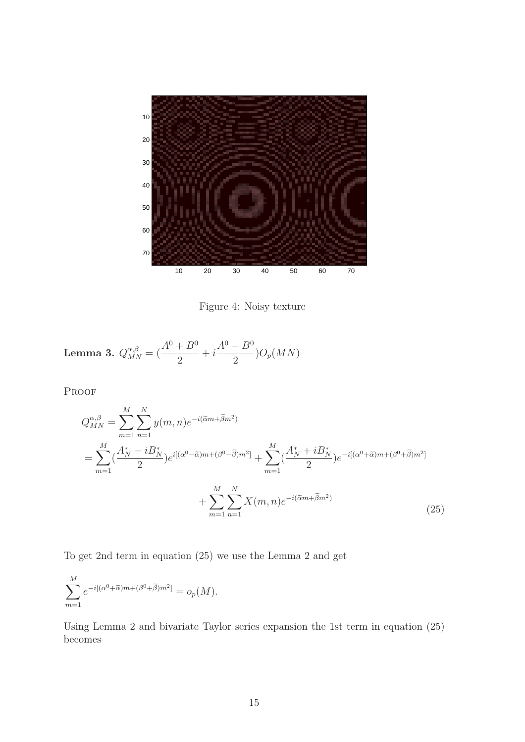

Figure 4: Noisy texture

**Lemma 3.** 
$$
Q_{MN}^{\alpha,\beta} = \left(\frac{A^0 + B^0}{2} + i\frac{A^0 - B^0}{2}\right)O_p(MN)
$$

Proof

$$
Q_{MN}^{\alpha,\beta} = \sum_{m=1}^{M} \sum_{n=1}^{N} y(m,n) e^{-i(\tilde{\alpha}m + \tilde{\beta}m^{2})}
$$
  
= 
$$
\sum_{m=1}^{M} (\frac{A_{N}^{*} - iB_{N}^{*}}{2}) e^{i[(\alpha^{0} - \tilde{\alpha})m + (\beta^{0} - \tilde{\beta})m^{2}]} + \sum_{m=1}^{M} (\frac{A_{N}^{*} + iB_{N}^{*}}{2}) e^{-i[(\alpha^{0} + \tilde{\alpha})m + (\beta^{0} + \tilde{\beta})m^{2}]} + \sum_{m=1}^{M} \sum_{n=1}^{N} X(m,n) e^{-i(\tilde{\alpha}m + \tilde{\beta}m^{2})}
$$
(25)

To get 2nd term in equation (25) we use the Lemma 2 and get

$$
\sum_{m=1}^{M} e^{-i[(\alpha^0 + \widetilde{\alpha})m + (\beta^0 + \widetilde{\beta})m^2]} = o_p(M).
$$

Using Lemma 2 and bivariate Taylor series expansion the 1st term in equation (25) becomes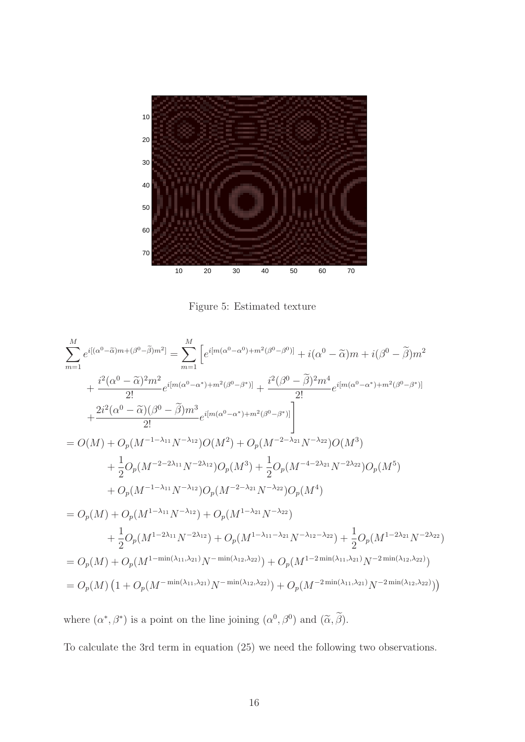

Figure 5: Estimated texture

$$
\sum_{m=1}^{M} e^{i[(\alpha^{0}-\tilde{\alpha})m+(\beta^{0}-\tilde{\beta})m^{2}]} = \sum_{m=1}^{M} \left[ e^{i[m(\alpha^{0}-\alpha^{0})+m^{2}(\beta^{0}-\beta^{0})]} + i(\alpha^{0}-\tilde{\alpha})m + i(\beta^{0}-\tilde{\beta})m^{2} \right. \\ \left. + \frac{i^{2}(\alpha^{0}-\tilde{\alpha})^{2}m^{2}}{2!} e^{i[m(\alpha^{0}-\alpha^{*})+m^{2}(\beta^{0}-\beta^{*})]} + \frac{i^{2}(\beta^{0}-\tilde{\beta})^{2}m^{4}}{2!} e^{i[m(\alpha^{0}-\alpha^{*})+m^{2}(\beta^{0}-\beta^{*})]} \right. \\ \left. + \frac{2i^{2}(\alpha^{0}-\tilde{\alpha})(\beta^{0}-\tilde{\beta})m^{3}}{2!} e^{i[m(\alpha^{0}-\alpha^{*})+m^{2}(\beta^{0}-\beta^{*})]} \right] \right] \\ = O(M) + O_{p}(M^{-1-\lambda_{11}}N^{-\lambda_{12}})O(M^{2}) + O_{p}(M^{-2-\lambda_{21}}N^{-\lambda_{22}})O(M^{3}) \\ \left. + \frac{1}{2}O_{p}(M^{-2-2\lambda_{11}}N^{-2\lambda_{12}})O_{p}(M^{3}) + \frac{1}{2}O_{p}(M^{-4-2\lambda_{21}}N^{-2\lambda_{22}})O_{p}(M^{5}) \right. \\ \left. + O_{p}(M^{-1-\lambda_{11}}N^{-\lambda_{12}})O_{p}(M^{-2-\lambda_{21}}N^{-\lambda_{22}})O_{p}(M^{4}) \right. \\ = O_{p}(M) + O_{p}(M^{1-\lambda_{11}}N^{-\lambda_{12}}) + O_{p}(M^{1-\lambda_{21}}N^{-\lambda_{22}}) \\ \left. + \frac{1}{2}O_{p}(M^{1-2\lambda_{11}}N^{-2\lambda_{12}}) + O_{p}(M^{1-\lambda_{11}-\lambda_{21}}N^{-\lambda_{12}-\lambda_{22}}) + \frac{1}{2}O_{p}(M^{1-2\lambda_{21}}N^{-2\lambda_{22}}) \right. \\ = O_{p}(M) + O_{p}(M^{1-\min(\lambda_{11},\lambda_{21})}N^{-\min(\lambda_{12},\lambda_{22})}) + O_{p}(M^{-2\min(\lambda_{11},
$$

where  $(\alpha^*, \beta^*)$  is a point on the line joining  $(\alpha^0, \beta^0)$  and  $(\widetilde{\alpha}, \beta)$ .

To calculate the 3rd term in equation (25) we need the following two observations.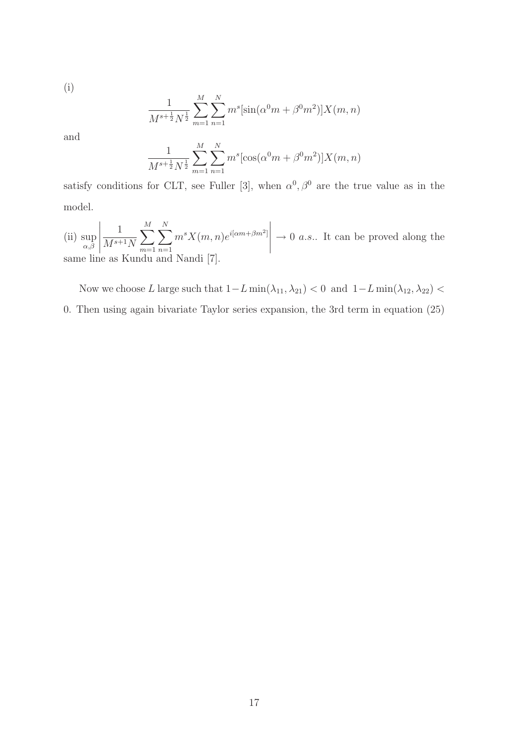(i)

$$
\frac{1}{M^{s+\frac{1}{2}}N^{\frac{1}{2}}} \sum_{m=1}^{M} \sum_{n=1}^{N} m^{s} [\sin(\alpha^{0}m + \beta^{0}m^{2})] X(m, n)
$$

and

$$
\frac{1}{M^{s+\frac{1}{2}}N^{\frac{1}{2}}} \sum_{m=1}^{M} \sum_{n=1}^{N} m^{s} [\cos(\alpha^{0}m + \beta^{0}m^{2})]X(m, n)
$$

satisfy conditions for CLT, see Fuller [3], when  $\alpha^0, \beta^0$  are the true value as in the model.

(ii) sup  $_{\alpha,\beta}$  $\begin{array}{c}\n\hline\n\end{array}$ 1  $M^{s+1}N$  $\sum^M$  $m=1$  $\sum_{i=1}^{N}$  $n=1$  $m^s X(m,n) e^{i[\alpha m + \beta m^2]}$  $\begin{array}{c}\n\hline\n\end{array}$  $\rightarrow 0$  a.s.. It can be proved along the same line as Kundu and Nandi [7].

Now we choose L large such that  $1-L \min(\lambda_{11}, \lambda_{21}) < 0$  and  $1-L \min(\lambda_{12}, \lambda_{22}) <$ 0. Then using again bivariate Taylor series expansion, the 3rd term in equation (25)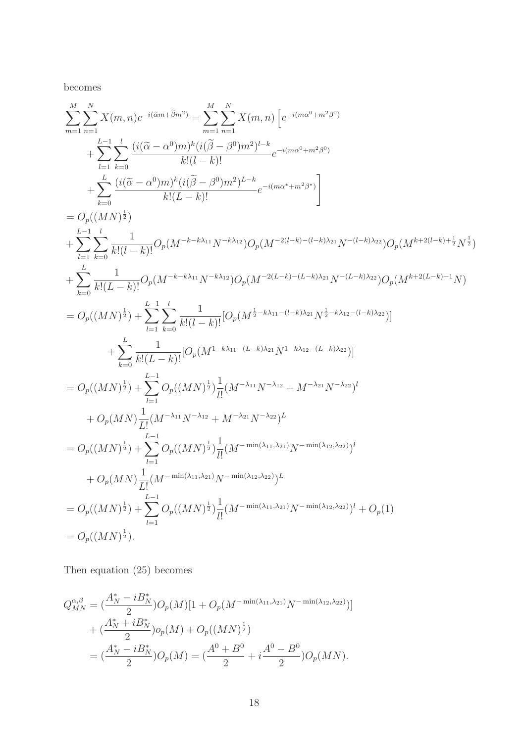becomes

$$
\sum_{m=1}^{M} \sum_{n=1}^{N} X(m, n) e^{-i(\tilde{a}m + \tilde{\beta}m^{2})} = \sum_{m=1}^{M} \sum_{n=1}^{N} X(m, n) \left[ e^{-i(m\alpha^{0} + m^{2}\beta^{0})} + \sum_{l=1}^{L-1} \sum_{k=0}^{l} \frac{(i(\tilde{\alpha} - \alpha^{0})m)^{k}(i(\tilde{\beta} - \beta^{0})m^{2})^{l-k}}{k!(l-k)!} e^{-i(m\alpha^{0} + m^{2}\beta^{0})} + \sum_{k=0}^{L} \frac{(i(\tilde{\alpha} - \alpha^{0})m)^{k}(i(\tilde{\beta} - \beta^{0})m^{2})^{L-k}}{k!(L-k)!} e^{-i(m\alpha^{*} + m^{2}\beta^{*})} \right]
$$
\n
$$
= O_{p}((MN)^{\frac{1}{2}})
$$
\n
$$
+ \sum_{l=1}^{L-1} \sum_{k=0}^{l} \frac{1}{k!(l-k)!} O_{p}(M^{-k-k\lambda_{11}}N^{-k\lambda_{12}}) O_{p}(M^{-2(l-k)-(l-k)\lambda_{21}}N^{-(l-k)\lambda_{22}}) O_{p}(M^{k+2(l-k)+\frac{1}{2}}N^{\frac{1}{2}})
$$
\n
$$
+ \sum_{k=0}^{L} \frac{1}{k!(L-k)!} O_{p}(M^{-k-k\lambda_{11}}N^{-k\lambda_{12}}) O_{p}(M^{-2(L-k)-(l-k)\lambda_{21}}N^{-(l-k)\lambda_{22}}) O_{p}(M^{k+2(l-k)+1}N)
$$
\n
$$
= O_{p}((MN)^{\frac{1}{2}}) + \sum_{l=1}^{L-1} \sum_{k=0}^{l} \frac{1}{k!(L-k)!} [O_{p}(M^{\frac{1}{2}-k\lambda_{11}-(l-k)\lambda_{21}}N^{\frac{1}{2}-k\lambda_{12}-(l-k)\lambda_{22}})]
$$
\n
$$
+ \sum_{k=0}^{L} \frac{1}{k!(L-k)!} [O_{p}(M^{1-k\lambda_{11}-(L-k)\lambda_{21}}N^{1-k\lambda_{12}-(L-k)\lambda_{22}})]
$$
\n
$$
= O_{p}((MN)^{\frac{1}{2}}) + \sum_{l=1}^{L-1} O_{p}((MN)^{\frac{
$$

Then equation (25) becomes

$$
Q_{MN}^{\alpha,\beta} = \left(\frac{A_N^* - iB_N^*}{2}\right)O_p(M)[1 + O_p(M^{-\min(\lambda_{11},\lambda_{21})}N^{-\min(\lambda_{12},\lambda_{22})})]
$$
  
+ 
$$
\left(\frac{A_N^* + iB_N^*}{2}\right)O_p(M) + O_p((MN)^{\frac{1}{2}})
$$
  
= 
$$
\left(\frac{A_N^* - iB_N^*}{2}\right)O_p(M) = \left(\frac{A^0 + B^0}{2} + i\frac{A^0 - B^0}{2}\right)O_p(MN).
$$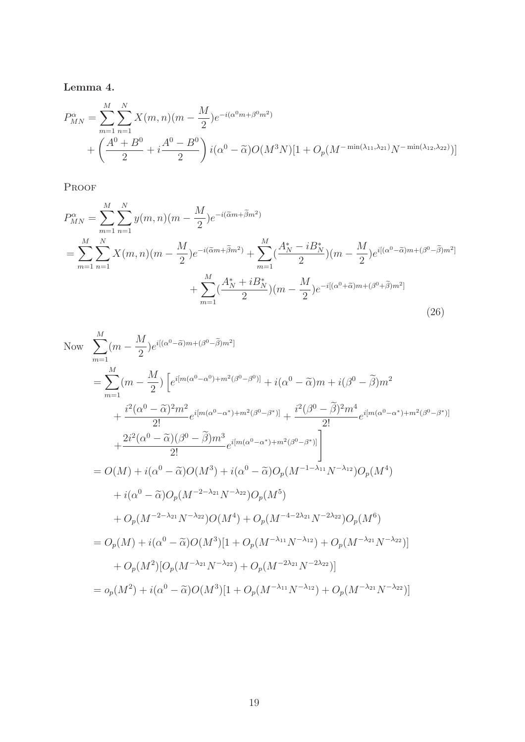Lemma 4.

$$
P_{MN}^{\alpha} = \sum_{m=1}^{M} \sum_{n=1}^{N} X(m,n)(m - \frac{M}{2})e^{-i(\alpha^0 m + \beta^0 m^2)}
$$
  
+ 
$$
\left(\frac{A^0 + B^0}{2} + i\frac{A^0 - B^0}{2}\right) i(\alpha^0 - \tilde{\alpha})O(M^3 N)[1 + O_p(M^{-\min(\lambda_{11}, \lambda_{21})}N^{-\min(\lambda_{12}, \lambda_{22})})]
$$

PROOF

$$
P_{MN}^{\alpha} = \sum_{m=1}^{M} \sum_{n=1}^{N} y(m,n)(m - \frac{M}{2})e^{-i(\tilde{\alpha}m + \tilde{\beta}m^{2})}
$$
  
= 
$$
\sum_{m=1}^{M} \sum_{n=1}^{N} X(m,n)(m - \frac{M}{2})e^{-i(\tilde{\alpha}m + \tilde{\beta}m^{2})} + \sum_{m=1}^{M} (\frac{A_{N}^{*} - iB_{N}^{*}}{2})(m - \frac{M}{2})e^{i[(\alpha^{0} - \tilde{\alpha})m + (\beta^{0} - \tilde{\beta})m^{2}]}
$$
  
+ 
$$
\sum_{m=1}^{M} (\frac{A_{N}^{*} + iB_{N}^{*}}{2})(m - \frac{M}{2})e^{-i[(\alpha^{0} + \tilde{\alpha})m + (\beta^{0} + \tilde{\beta})m^{2}]}
$$
(26)

Now 
$$
\sum_{m=1}^{M} (m - \frac{M}{2}) e^{i[(\alpha^0 - \tilde{\alpha})m + (\beta^0 - \tilde{\beta})m^2]}
$$
  
\n
$$
= \sum_{m=1}^{M} (m - \frac{M}{2}) \left[ e^{i[m(\alpha^0 - \alpha^0) + m^2(\beta^0 - \beta^0)]} + i(\alpha^0 - \tilde{\alpha})m + i(\beta^0 - \tilde{\beta})m^2 + \frac{i^2(\alpha^0 - \tilde{\alpha})^2m^2}{2!} e^{i[m(\alpha^0 - \alpha^*) + m^2(\beta^0 - \beta^*)]} + \frac{i^2(\beta^0 - \tilde{\beta})^2m^4}{2!} e^{i[m(\alpha^0 - \alpha^*) + m^2(\beta^0 - \beta^*)]} + \frac{2i^2(\alpha^0 - \tilde{\alpha})(\beta^0 - \tilde{\beta})m^3}{2!} e^{i[m(\alpha^0 - \alpha^*) + m^2(\beta^0 - \beta^*)]} \right]
$$
  
\n
$$
= O(M) + i(\alpha^0 - \tilde{\alpha})O(M^3) + i(\alpha^0 - \tilde{\alpha})O_p(M^{-1-\lambda_{11}}N^{-\lambda_{12}})O_p(M^4)
$$
  
\n
$$
+ i(\alpha^0 - \tilde{\alpha})O_p(M^{-2-\lambda_{21}}N^{-\lambda_{22}})O_p(M^5)
$$
  
\n
$$
+ O_p(M^{-2-\lambda_{21}}N^{-\lambda_{22}})O(M^4) + O_p(M^{-4-2\lambda_{21}}N^{-2\lambda_{22}})O_p(M^6)
$$
  
\n
$$
= O_p(M) + i(\alpha^0 - \tilde{\alpha})O(M^3)[1 + O_p(M^{-\lambda_{11}}N^{-\lambda_{12}}) + O_p(M^{-\lambda_{21}}N^{-\lambda_{22}})]
$$
  
\n
$$
+ O_p(M^2)[O_p(M^{-\lambda_{21}}N^{-\lambda_{22}}) + O_p(M^{-2\lambda_{21}}N^{-2\lambda_{22}})]
$$
  
\n
$$
= o_p(M^2) + i(\alpha^0 - \tilde{\alpha})O(M^3)[1 + O_p(M^{-\lambda_{11}}N^{-\lambda_{12}}) + O_p(M^{-\lambda_{21}}N^{-\lambda_{22}})]
$$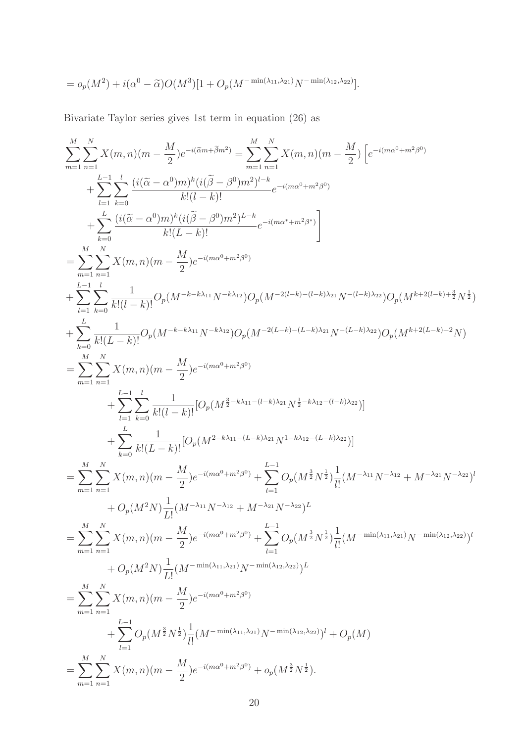$$
= o_p(M^2) + i(\alpha^0 - \tilde{\alpha})O(M^3)[1 + O_p(M^{-\min(\lambda_{11}, \lambda_{21})}N^{-\min(\lambda_{12}, \lambda_{22})}].
$$

Bivariate Taylor series gives 1st term in equation (26) as

$$
\sum_{m=1}^{M} \sum_{n=1}^{N} X(m,n)(m - \frac{M}{2})e^{-i(\tilde{a}m + \tilde{\beta}m^{2})} = \sum_{m=1}^{M} \sum_{n=1}^{N} X(m,n)(m - \frac{M}{2}) \left[ e^{-i(m\alpha^{0} + m^{2}\beta^{0})} \right.
$$
\n
$$
+ \sum_{l=1}^{L} \sum_{k=0}^{l} \frac{(i(\tilde{\alpha} - \alpha^{0})m)^{k}(i(\tilde{\beta} - \beta^{0})m^{2})^{l-k}}{k!(l-k)!} e^{-i(m\alpha^{0} + m^{2}\beta^{0})}
$$
\n
$$
+ \sum_{k=0}^{L} \frac{(i(\tilde{\alpha} - \alpha^{0})m)^{k}(i(\tilde{\beta} - \beta^{0})m^{2})^{l-k}}{k!(L-k)!} e^{-i(m\alpha^{0} + m^{2}\beta^{0})}
$$
\n
$$
= \sum_{m=1}^{M} \sum_{n=1}^{N} X(m,n)(m - \frac{M}{2})e^{-i(m\alpha^{0} + m^{2}\beta^{0})}
$$
\n
$$
+ \sum_{l=1}^{L} \sum_{k=0}^{l} \frac{1}{k!(l-k)!} O_{p}(M^{-k-k\lambda_{11}}N^{-k\lambda_{12}})O_{p}(M^{-2(l-k)-(l-k)\lambda_{21}}N^{-(l-k)\lambda_{22}})O_{p}(M^{k+2(l-k)+\frac{3}{2}}N^{\frac{1}{2}})
$$
\n
$$
+ \sum_{k=0}^{L} \sum_{k=0}^{l} X(m,n)(m - \frac{M}{2})e^{-i(m\alpha^{0} + m^{2}\beta^{0})}
$$
\n
$$
+ \sum_{l=1}^{L} \sum_{k=0}^{L} \frac{1}{k!(l-k)!} [O_{p}(M^{\frac{3}{2}-k\lambda_{11}-(l-k)\lambda_{21}}N^{-l-k\lambda_{12}-(l-k)\lambda_{22}})]
$$
\n
$$
+ \sum_{l=1}^{L} \sum_{k=0}^{L} \frac{1}{k!(l-k)!} [O_{p}(M^{\frac{3}{2}-k\lambda_{11}-(l-k)\lambda_{21}}N^{-l-k\lambda_{12}-(l-k)\lambda_{22}})]
$$
\n
$$
+ \sum_{k=0}^{L} \sum_{k=0}^{
$$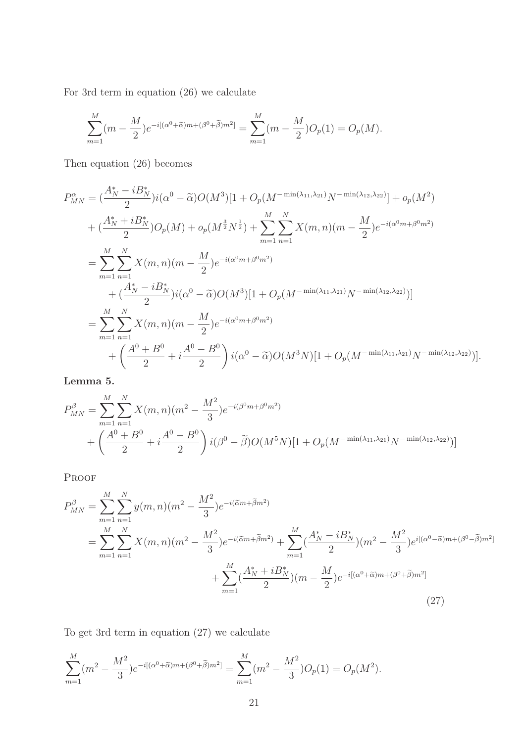For 3rd term in equation (26) we calculate

$$
\sum_{m=1}^{M} (m - \frac{M}{2}) e^{-i[(\alpha^0 + \widetilde{\alpha})m + (\beta^0 + \widetilde{\beta})m^2]} = \sum_{m=1}^{M} (m - \frac{M}{2}) O_p(1) = O_p(M).
$$

Then equation (26) becomes

$$
P_{MN}^{\alpha} = \left(\frac{A_N^* - iB_N^*}{2}\right)i(\alpha^0 - \tilde{\alpha})O(M^3)[1 + O_p(M^{-\min(\lambda_{11},\lambda_{21})}N^{-\min(\lambda_{12},\lambda_{22})}] + o_p(M^2)
$$
  
+ 
$$
\left(\frac{A_N^* + iB_N^*}{2}\right)O_p(M) + o_p(M^{\frac{3}{2}}N^{\frac{1}{2}}) + \sum_{m=1}^M \sum_{n=1}^N X(m,n)(m - \frac{M}{2})e^{-i(\alpha^0 m + \beta^0 m^2)}
$$
  
= 
$$
\sum_{m=1}^M \sum_{n=1}^N X(m,n)(m - \frac{M}{2})e^{-i(\alpha^0 m + \beta^0 m^2)}
$$
  
+ 
$$
\left(\frac{A_N^* - iB_N^*}{2}\right)i(\alpha^0 - \tilde{\alpha})O(M^3)[1 + O_p(M^{-\min(\lambda_{11},\lambda_{21})}N^{-\min(\lambda_{12},\lambda_{22})})]
$$
  
= 
$$
\sum_{m=1}^M \sum_{n=1}^N X(m,n)(m - \frac{M}{2})e^{-i(\alpha^0 m + \beta^0 m^2)}
$$
  
+ 
$$
\left(\frac{A^0 + B^0}{2} + i\frac{A^0 - B^0}{2}\right)i(\alpha^0 - \tilde{\alpha})O(M^3N)[1 + O_p(M^{-\min(\lambda_{11},\lambda_{21})}N^{-\min(\lambda_{12},\lambda_{22})})].
$$

Lemma 5.

$$
P_{MN}^{\beta} = \sum_{m=1}^{M} \sum_{n=1}^{N} X(m,n)(m^{2} - \frac{M^{2}}{3}) e^{-i(\beta^{0}m + \beta^{0}m^{2})}
$$
  
+ 
$$
\left(\frac{A^{0} + B^{0}}{2} + i\frac{A^{0} - B^{0}}{2}\right) i(\beta^{0} - \tilde{\beta})O(M^{5}N)[1 + O_{p}(M^{-\min(\lambda_{11}, \lambda_{21})}N^{-\min(\lambda_{12}, \lambda_{22})})]
$$

Proof

$$
P_{MN}^{\beta} = \sum_{m=1}^{M} \sum_{n=1}^{N} y(m,n)(m^{2} - \frac{M^{2}}{3})e^{-i(\tilde{\alpha}m + \tilde{\beta}m^{2})}
$$
  
= 
$$
\sum_{m=1}^{M} \sum_{n=1}^{N} X(m,n)(m^{2} - \frac{M^{2}}{3})e^{-i(\tilde{\alpha}m + \tilde{\beta}m^{2})} + \sum_{m=1}^{M} (\frac{A_{N}^{*} - iB_{N}^{*}}{2}) (m^{2} - \frac{M^{2}}{3})e^{i[(\alpha^{0} - \tilde{\alpha})m + (\beta^{0} - \tilde{\beta})m^{2}]} + \sum_{m=1}^{M} (\frac{A_{N}^{*} + iB_{N}^{*}}{2}) (m - \frac{M}{2})e^{-i[(\alpha^{0} + \tilde{\alpha})m + (\beta^{0} + \tilde{\beta})m^{2}]} \tag{27}
$$

To get 3rd term in equation (27) we calculate

$$
\sum_{m=1}^{M} (m^2 - \frac{M^2}{3}) e^{-i[(\alpha^0 + \tilde{\alpha})m + (\beta^0 + \tilde{\beta})m^2]} = \sum_{m=1}^{M} (m^2 - \frac{M^2}{3}) O_p(1) = O_p(M^2).
$$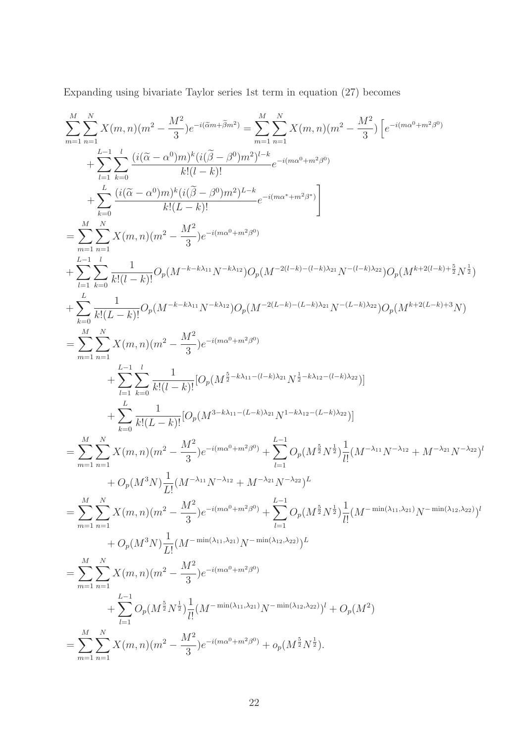Expanding using bivariate Taylor series 1st term in equation (27) becomes

$$
\begin{split} &\sum_{m=1}^{M} \sum_{n=1}^{N} X(m,n) (m^2 - \frac{M^2}{3}) e^{-i(\overline{\alpha}m + \overline{\beta}m^2)} = \sum_{m=1}^{M} \sum_{n=1}^{N} X(m,n) (m^2 - \frac{M^2}{3}) \left[ e^{-i(m\alpha^0 + m^2\beta^0)} + \sum_{l=1}^{L-1} \sum_{k=0}^{l} \frac{(i(\widetilde{\alpha} - \alpha^0)m)^k(i(\widetilde{\beta} - \beta^0)m^2)^{l-k}}{k!(l-k)!} e^{-i(m\alpha^0 + m^2\beta^0)} \right. \\ & \left. + \sum_{k=0}^{L} \frac{(i(\widetilde{\alpha} - \alpha^0)m)^k(i(\widetilde{\beta} - \beta^0)m^2)^{l-k}}{k!(L-k)!} e^{-i(m\alpha^0 + m^2\beta^0)} \right] \\ &= \sum_{m=1}^{M} \sum_{n=1}^{N} X(m,n) (m^2 - \frac{M^2}{3}) e^{-i(m\alpha^0 + m^2\beta^0)} \\ &+ \sum_{l=1}^{L-1} \sum_{k=0}^{l} \frac{1}{k!(l-k)!} O_p(M^{-k-k\lambda_{11}}N^{-k\lambda_{12}}) O_p(M^{-2(l-k)-(l-k)\lambda_{21}}N^{-(l-k)\lambda_{22}}) O_p(M^{k+2(l-k)+\frac{8}{2}}N^{\frac{1}{2}}) \\ &+ \sum_{k=0}^{L} \sum_{k,l}^{l} X(m,n) (m^2 - \frac{M^2}{3}) e^{-i(m\alpha^0 + m^2\beta^0)} \\ &= \sum_{m=1}^{M} \sum_{n=1}^{N} X(m,n) (m^2 - \frac{M^2}{3}) e^{-i(m\alpha^0 + m^2\beta^0)} \\ &+ \sum_{l=1}^{L-1} \sum_{k=0}^{L-1} \frac{1}{k!(l-k)!} [O_p(M^{\frac{3}{2}-k\lambda_{11}-(l-k)\lambda_{21}}N^{\frac{1}{2}-k\lambda_{12}-(l-k)\lambda_{22}})] \\ &+ \sum_{k=1}^{L} \sum_{k=0}^{L-1} \frac{1}{k!(l-k)!} [O_p(M^{\frac{3}{2}-k\lambda_{11}-(l-k)\lambda_{21}}N^{\frac{1}{2}-k\lambda_{12}-(l-k)\lambda_{2
$$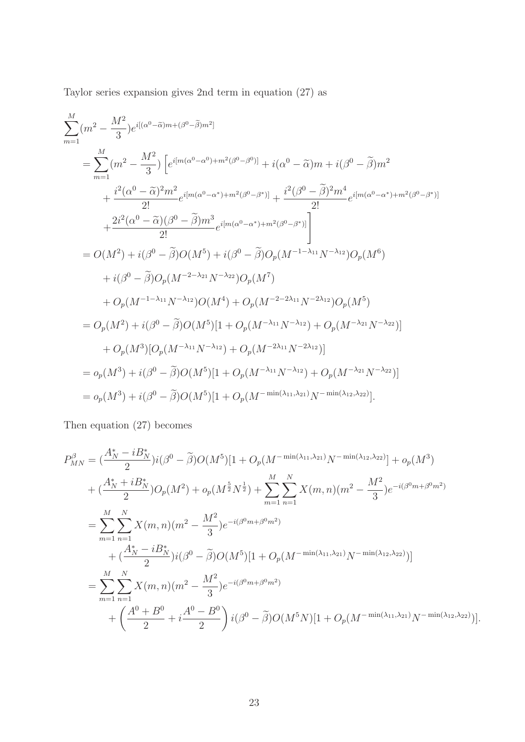Taylor series expansion gives 2nd term in equation (27) as

$$
\begin{split} &\sum_{m=1}^{M}(m^{2}-\frac{M^{2}}{3})e^{i[(\alpha^{0}-\widetilde{\alpha})m+(\beta^{0}-\widetilde{\beta})m^{2}]}\\ &=\sum_{m=1}^{M}(m^{2}-\frac{M^{2}}{3})\left[e^{i[m(\alpha^{0}-\alpha^{0})+m^{2}(\beta^{0}-\beta^{0})]}+i(\alpha^{0}-\widetilde{\alpha})m+i(\beta^{0}-\widetilde{\beta})m^{2}\right.\\ &\left. +\frac{i^{2}(\alpha^{0}-\widetilde{\alpha})^{2}m^{2}}{2!}e^{i[m(\alpha^{0}-\alpha^{*})+m^{2}(\beta^{0}-\beta^{*})]}+\frac{i^{2}(\beta^{0}-\widetilde{\beta})^{2}m^{4}}{2!}e^{i[m(\alpha^{0}-\alpha^{*})+m^{2}(\beta^{0}-\beta^{*})]}\\ &\left. +\frac{2i^{2}(\alpha^{0}-\widetilde{\alpha})(\beta^{0}-\widetilde{\beta})m^{3}}{2!}e^{i[m(\alpha^{0}-\alpha^{*})+m^{2}(\beta^{0}-\beta^{*})]} \right] \\ &=O(M^{2})+i(\beta^{0}-\widetilde{\beta})O(M^{5})+i(\beta^{0}-\widetilde{\beta})O_{p}(M^{-1-\lambda_{11}}N^{-\lambda_{12}})O_{p}(M^{6})\\ &\left. +i(\beta^{0}-\widetilde{\beta})O_{p}(M^{-2-\lambda_{21}}N^{-\lambda_{22}})O_{p}(M^{7})\\ &\left. +O_{p}(M^{-1-\lambda_{11}}N^{-\lambda_{12}})O(M^{4})+O_{p}(M^{-2-2\lambda_{11}}N^{-2\lambda_{12}})O_{p}(M^{5})\right.\\ &=O_{p}(M^{2})+i(\beta^{0}-\widetilde{\beta})O(M^{5})[1+O_{p}(M^{-\lambda_{11}}N^{-\lambda_{12}})+O_{p}(M^{-\lambda_{21}}N^{-\lambda_{22}})]\\ &\left. +O_{p}(M^{3})[O_{p}(M^{-\lambda_{11}}N^{-\lambda_{12}})+O_{p}(M^{-2\lambda_{11}}N^{-2\lambda_{12}})]\\ &=o_{p}(M^{3})+i(\beta^{0}-\widetilde{\beta})O(M^{5})[1+O_{p}(M^{-\lambda_{11}}N^{-\lambda_{12}})+O_{p}(M^{-\lambda_{21}}N^{-\lambda_{22}})]\\ &=o_{p
$$

Then equation (27) becomes

$$
P_{MN}^{\beta} = \left(\frac{A_N^* - iB_N^*}{2}\right) i(\beta^0 - \tilde{\beta}) O(M^5) [1 + O_p(M^{-\min(\lambda_{11}, \lambda_{21})} N^{-\min(\lambda_{12}, \lambda_{22})}] + o_p(M^3)
$$
  
+ 
$$
\left(\frac{A_N^* + iB_N^*}{2}\right) O_p(M^2) + o_p(M^{\frac{5}{2}} N^{\frac{1}{2}}) + \sum_{m=1}^M \sum_{n=1}^N X(m, n)(m^2 - \frac{M^2}{3}) e^{-i(\beta^0 m + \beta^0 m^2)}
$$
  
= 
$$
\sum_{m=1}^M \sum_{n=1}^N X(m, n)(m^2 - \frac{M^2}{3}) e^{-i(\beta^0 m + \beta^0 m^2)}
$$
  
+ 
$$
\left(\frac{A_N^* - iB_N^*}{2}\right) i(\beta^0 - \tilde{\beta}) O(M^5) [1 + O_p(M^{-\min(\lambda_{11}, \lambda_{21})} N^{-\min(\lambda_{12}, \lambda_{22})})]
$$
  
= 
$$
\sum_{m=1}^M \sum_{n=1}^N X(m, n)(m^2 - \frac{M^2}{3}) e^{-i(\beta^0 m + \beta^0 m^2)}
$$
  
+ 
$$
\left(\frac{A^0 + B^0}{2} + i\frac{A^0 - B^0}{2}\right) i(\beta^0 - \tilde{\beta}) O(M^5 N) [1 + O_p(M^{-\min(\lambda_{11}, \lambda_{21})} N^{-\min(\lambda_{12}, \lambda_{22})})].
$$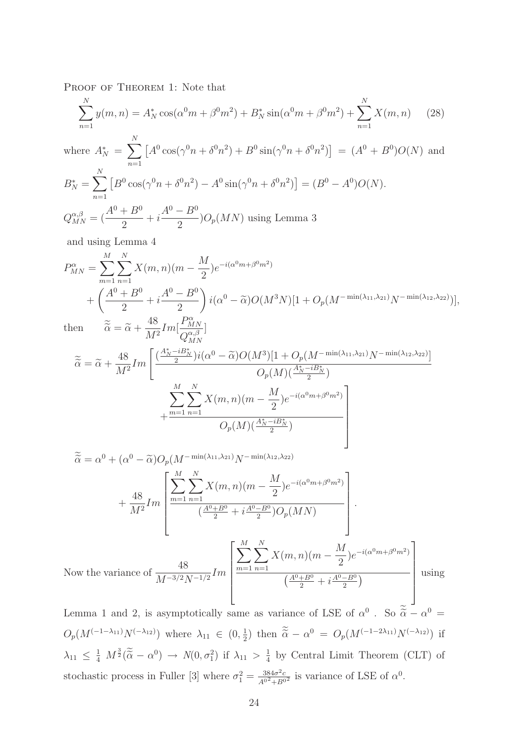PROOF OF THEOREM 1: Note that

$$
\sum_{n=1}^{N} y(m, n) = A_N^* \cos(\alpha^0 m + \beta^0 m^2) + B_N^* \sin(\alpha^0 m + \beta^0 m^2) + \sum_{n=1}^{N} X(m, n) \tag{28}
$$

where 
$$
A_N^* = \sum_{n=1}^N [A^0 \cos(\gamma^0 n + \delta^0 n^2) + B^0 \sin(\gamma^0 n + \delta^0 n^2)] = (A^0 + B^0)O(N)
$$
 and  
\n
$$
B_N^* = \sum_{n=1}^N [B^0 \cos(\gamma^0 n + \delta^0 n^2) - A^0 \sin(\gamma^0 n + \delta^0 n^2)] = (B^0 - A^0)O(N).
$$
\n
$$
Q_{MN}^{\alpha,\beta} = (\frac{A^0 + B^0}{2} + i\frac{A^0 - B^0}{2})O_p(MN)
$$
 using Lemma 3

and using Lemma 4

$$
P_{MN}^{\alpha} = \sum_{m=1}^{M} \sum_{n=1}^{N} X(m,n)(m - \frac{M}{2})e^{-i(\alpha^0 m + \beta^0 m^2)}
$$
  
+ 
$$
\left(\frac{A^0 + B^0}{2} + i\frac{A^0 - B^0}{2}\right) i(\alpha^0 - \tilde{\alpha})O(M^3 N)[1 + O_p(M^{-\min(\lambda_{11}, \lambda_{21})}N^{-\min(\lambda_{12}, \lambda_{22})})],
$$
  
then 
$$
\tilde{\alpha} = \tilde{\alpha} + \frac{48}{M^2} Im[\frac{P_{MN}^{\alpha}}{Q_{MN}^{\alpha\beta}}]
$$

$$
\tilde{\alpha} = \tilde{\alpha} + \frac{48}{M^2} Im \left[ \frac{(\frac{A_N^* - iB_N^*}{2}) i(\alpha^0 - \tilde{\alpha}) O(M^3) [1 + O_p(M^{-\min(\lambda_{11}, \lambda_{21})} N^{-\min(\lambda_{12}, \lambda_{22})}]}{O_p(M) (\frac{A_N^* - iB_N^*}{2})} + \frac{\sum_{m=1}^M \sum_{n=1}^N X(m, n)(m - \frac{M}{2}) e^{-i(\alpha^0 m + \beta^0 m^2)}}{O_p(M) (\frac{A_N^* - iB_N^*}{2})} \right]
$$

$$
\tilde{\alpha} = \alpha^{0} + (\alpha^{0} - \tilde{\alpha})O_{p}(M^{-\min(\lambda_{11},\lambda_{21})}N^{-\min(\lambda_{12},\lambda_{22})} + \frac{48}{M^{2}}Im\left[\frac{\sum_{m=1}^{M} \sum_{n=1}^{N} X(m,n)(m - \frac{M}{2})e^{-i(\alpha^{0}m + \beta^{0}m^{2})}}{(\frac{A^{0} + B^{0}}{2} + i\frac{A^{0} - B^{0}}{2})O_{p}(MN)}\right].
$$
  
Now the variance of 
$$
\frac{48}{M^{-3/2}N^{-1/2}}Im\left[\frac{\sum_{m=1}^{M} \sum_{n=1}^{N} X(m,n)(m - \frac{M}{2})e^{-i(\alpha^{0}m + \beta^{0}m^{2})}}{(\frac{A^{0} + B^{0}}{2} + i\frac{A^{0} - B^{0}}{2})}\right]
$$
us

 $\sin g$ 

Lemma 1 and 2, is asymptotically same as variance of LSE of  $\alpha^0$ . So  $\tilde{\alpha} - \alpha^0 =$  $O_p(M^{(-1-\lambda_{11})}N^{(-\lambda_{12})})$  where  $\lambda_{11} \in (0, \frac{1}{2})$  $(\frac{1}{2})$  then  $\tilde{\alpha} - \alpha^0 = O_p(M^{(-1-2\lambda_{11})}N^{(-\lambda_{12})})$  if  $\lambda_{11} \leq \frac{1}{4} M^{\frac{3}{2}}(\widetilde{\widetilde{\alpha}} - \alpha^0) \rightarrow N(0, \sigma_1^2)$  if  $\lambda_{11} > \frac{1}{4}$  $\frac{1}{4}$  by Central Limit Theorem (CLT) of stochastic process in Fuller [3] where  $\sigma_1^2 = \frac{384\sigma^2 c}{A^{02} + B^{02}}$  is variance of LSE of  $\alpha^0$ .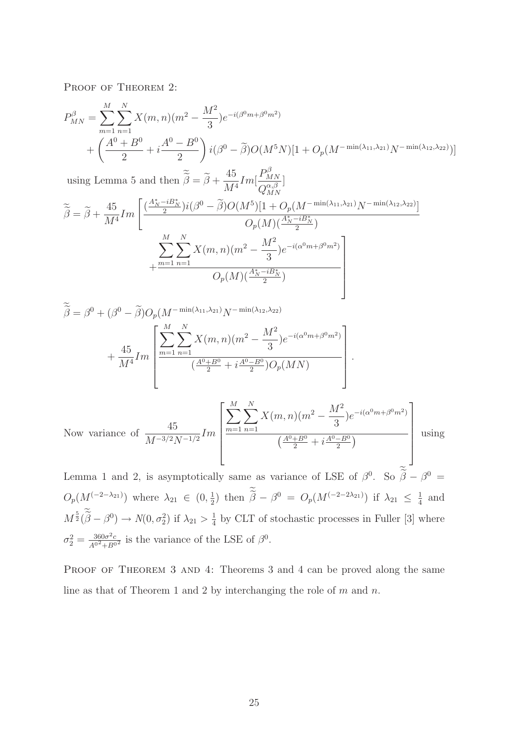PROOF OF THEOREM 2:

$$
P_{MN}^{\beta} = \sum_{m=1}^{M} \sum_{n=1}^{N} X(m,n)(m^{2} - \frac{M^{2}}{3}) e^{-i(\beta^{0}m + \beta^{0}m^{2})}
$$
  
+ 
$$
\left(\frac{A^{0} + B^{0}}{2} + i\frac{A^{0} - B^{0}}{2}\right) i(\beta^{0} - \tilde{\beta})O(M^{5}N)[1 + O_{p}(M^{-\min(\lambda_{11}, \lambda_{21})}N^{-\min(\lambda_{12}, \lambda_{22})})]
$$

using Lemma 5 and then  $\widetilde{\tilde{\beta}} = \widetilde{\beta} + \frac{45}{M^4}$  $\frac{10}{M^4}$ *Im*[  $P_{N}^{\beta}$ MN  $Q_{M}^{\alpha,\beta}$ MN ]

$$
\widetilde{\tilde{\beta}} = \widetilde{\beta} + \frac{45}{M^4} Im \left[ \frac{(\frac{A_N^* - iB_N^*}{2}) i (\beta^0 - \widetilde{\beta}) O(M^5) [1 + O_p(M^{-\min(\lambda_{11}, \lambda_{21})} N^{-\min(\lambda_{12}, \lambda_{22})}]}{O_p(M) (\frac{A_N^* - iB_N^*}{2})} + \frac{\sum_{m=1}^M \sum_{n=1}^N X(m, n) (m^2 - \frac{M^2}{3}) e^{-i(\alpha^0 m + \beta^0 m^2)}}{O_p(M) (\frac{A_N^* - iB_N^*}{2})} \right]
$$

$$
\widetilde{\beta} = \beta^{0} + (\beta^{0} - \widetilde{\beta})O_{p}(M^{-\min(\lambda_{11}, \lambda_{21})}N^{-\min(\lambda_{12}, \lambda_{22})} + \frac{45}{M^{4}}Im\left[\frac{\sum_{m=1}^{M} \sum_{n=1}^{N} X(m, n)(m^{2} - \frac{M^{2}}{3})e^{-i(\alpha^{0}m + \beta^{0}m^{2})}}{(\frac{A^{0} + B^{0}}{2} + i\frac{A^{0} - B^{0}}{2})O_{p}(MN)}\right].
$$

Now variance of 
$$
\frac{45}{M^{-3/2}N^{-1/2}}Im\left[\frac{\sum_{m=1}^{M}\sum_{n=1}^{N}X(m,n)(m^{2}-\frac{M^{2}}{3})e^{-i(\alpha^{0}m+\beta^{0}m^{2})}}{\left(\frac{A^{0}+B^{0}}{2}+i\frac{A^{0}-B^{0}}{2}\right)}\right]
$$
 using

Lemma 1 and 2, is asymptotically same as variance of LSE of  $\beta^0$ . So  $\beta - \beta^0 =$  $O_p(M^{(-2-\lambda_{21})})$  where  $\lambda_{21} \in (0, \frac{1}{2})$  $(\frac{1}{2})$  then  $\tilde{\beta} - \beta^0 = O_p(M^{(-2-2\lambda_{21})})$  if  $\lambda_{21} \leq \frac{1}{4}$  $rac{1}{4}$  and  $M^{\frac{5}{2}}(\widetilde{\beta}-\beta^0) \rightarrow N(0,\sigma_2^2)$  if  $\lambda_{21} > \frac{1}{4}$  $\frac{1}{4}$  by CLT of stochastic processes in Fuller [3] where  $\sigma_2^2 = \frac{360\sigma^2 c}{A^{02} + B^{02}}$  is the variance of the LSE of  $\beta^0$ .

PROOF OF THEOREM 3 AND 4: Theorems 3 and 4 can be proved along the same line as that of Theorem 1 and 2 by interchanging the role of  $m$  and  $n$ .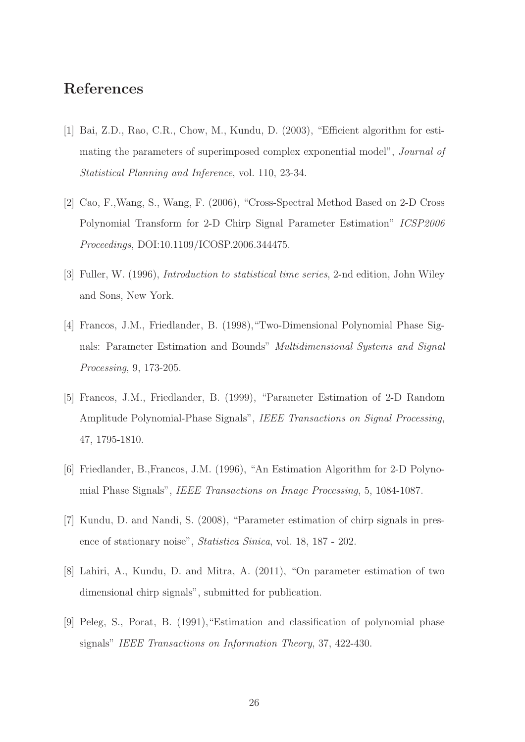# References

- [1] Bai, Z.D., Rao, C.R., Chow, M., Kundu, D. (2003), "Efficient algorithm for estimating the parameters of superimposed complex exponential model", Journal of Statistical Planning and Inference, vol. 110, 23-34.
- [2] Cao, F.,Wang, S., Wang, F. (2006), "Cross-Spectral Method Based on 2-D Cross Polynomial Transform for 2-D Chirp Signal Parameter Estimation" ICSP2006 Proceedings, DOI:10.1109/ICOSP.2006.344475.
- [3] Fuller, W. (1996), Introduction to statistical time series, 2-nd edition, John Wiley and Sons, New York.
- [4] Francos, J.M., Friedlander, B. (1998),"Two-Dimensional Polynomial Phase Signals: Parameter Estimation and Bounds" Multidimensional Systems and Signal Processing, 9, 173-205.
- [5] Francos, J.M., Friedlander, B. (1999), "Parameter Estimation of 2-D Random Amplitude Polynomial-Phase Signals", IEEE Transactions on Signal Processing, 47, 1795-1810.
- [6] Friedlander, B.,Francos, J.M. (1996), "An Estimation Algorithm for 2-D Polynomial Phase Signals", IEEE Transactions on Image Processing, 5, 1084-1087.
- [7] Kundu, D. and Nandi, S. (2008), "Parameter estimation of chirp signals in presence of stationary noise", Statistica Sinica, vol. 18, 187 - 202.
- [8] Lahiri, A., Kundu, D. and Mitra, A. (2011), "On parameter estimation of two dimensional chirp signals", submitted for publication.
- [9] Peleg, S., Porat, B. (1991),"Estimation and classification of polynomial phase signals" IEEE Transactions on Information Theory, 37, 422-430.